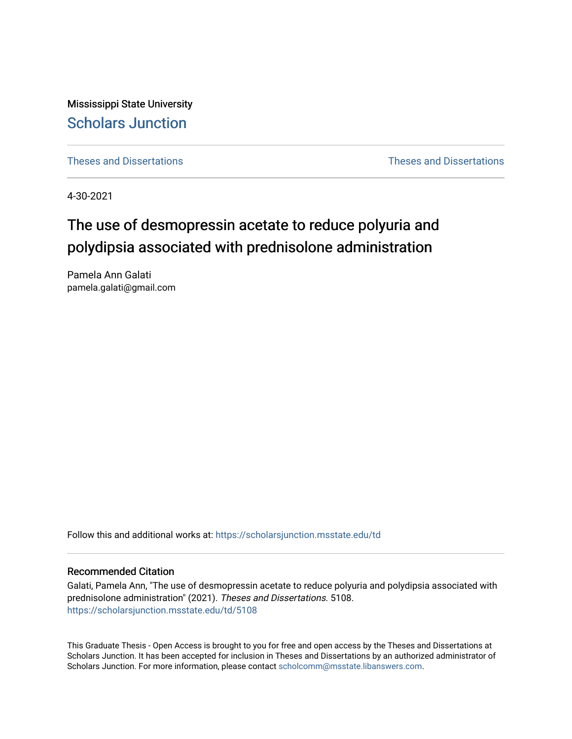Mississippi State University [Scholars Junction](https://scholarsjunction.msstate.edu/) 

[Theses and Dissertations](https://scholarsjunction.msstate.edu/td) [Theses and Dissertations](https://scholarsjunction.msstate.edu/theses-dissertations) 

4-30-2021

# The use of desmopressin acetate to reduce polyuria and polydipsia associated with prednisolone administration

Pamela Ann Galati pamela.galati@gmail.com

Follow this and additional works at: [https://scholarsjunction.msstate.edu/td](https://scholarsjunction.msstate.edu/td?utm_source=scholarsjunction.msstate.edu%2Ftd%2F5108&utm_medium=PDF&utm_campaign=PDFCoverPages) 

# Recommended Citation

Galati, Pamela Ann, "The use of desmopressin acetate to reduce polyuria and polydipsia associated with prednisolone administration" (2021). Theses and Dissertations. 5108. [https://scholarsjunction.msstate.edu/td/5108](https://scholarsjunction.msstate.edu/td/5108?utm_source=scholarsjunction.msstate.edu%2Ftd%2F5108&utm_medium=PDF&utm_campaign=PDFCoverPages) 

This Graduate Thesis - Open Access is brought to you for free and open access by the Theses and Dissertations at Scholars Junction. It has been accepted for inclusion in Theses and Dissertations by an authorized administrator of Scholars Junction. For more information, please contact [scholcomm@msstate.libanswers.com.](mailto:scholcomm@msstate.libanswers.com)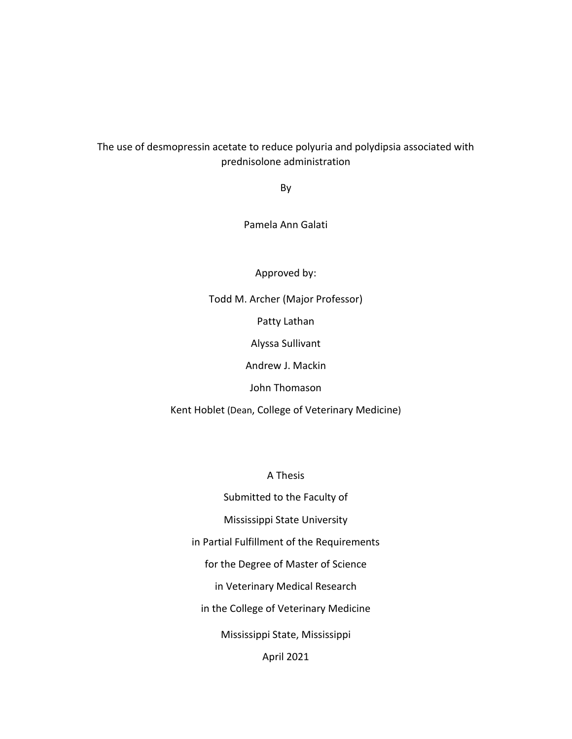# The use of desmopressin acetate to reduce polyuria and polydipsia associated with prednisolone administration

By

Pamela Ann Galati

Approved by:

Todd M. Archer (Major Professor) Patty Lathan Alyssa Sullivant Andrew J. Mackin John Thomason Kent Hoblet (Dean, College of Veterinary Medicine)

A Thesis

Submitted to the Faculty of Mississippi State University in Partial Fulfillment of the Requirements for the Degree of Master of Science in Veterinary Medical Research in the College of Veterinary Medicine Mississippi State, Mississippi April 2021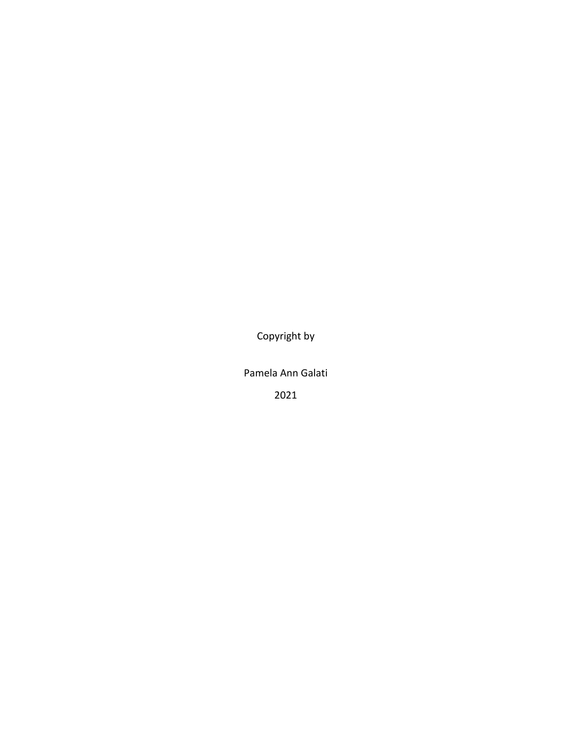Copyright by

Pamela Ann Galati

2021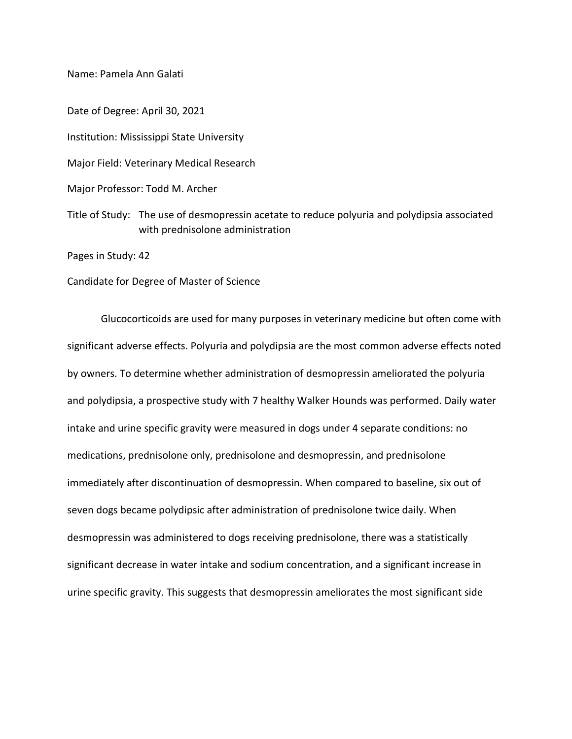Name: Pamela Ann Galati

Date of Degree: April 30, 2021 Institution: Mississippi State University Major Field: Veterinary Medical Research Major Professor: Todd M. Archer Title of Study: The use of desmopressin acetate to reduce polyuria and polydipsia associated with prednisolone administration Pages in Study: 42

Candidate for Degree of Master of Science

Glucocorticoids are used for many purposes in veterinary medicine but often come with significant adverse effects. Polyuria and polydipsia are the most common adverse effects noted by owners. To determine whether administration of desmopressin ameliorated the polyuria and polydipsia, a prospective study with 7 healthy Walker Hounds was performed. Daily water intake and urine specific gravity were measured in dogs under 4 separate conditions: no medications, prednisolone only, prednisolone and desmopressin, and prednisolone immediately after discontinuation of desmopressin. When compared to baseline, six out of seven dogs became polydipsic after administration of prednisolone twice daily. When desmopressin was administered to dogs receiving prednisolone, there was a statistically significant decrease in water intake and sodium concentration, and a significant increase in urine specific gravity. This suggests that desmopressin ameliorates the most significant side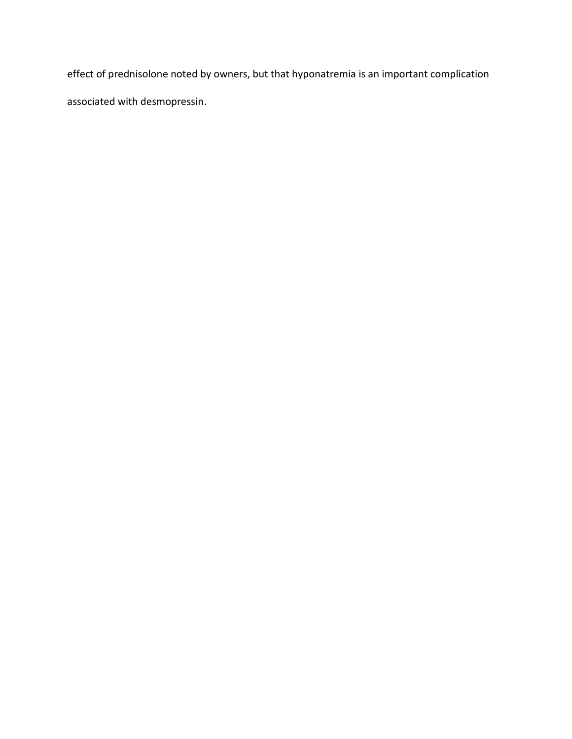effect of prednisolone noted by owners, but that hyponatremia is an important complication associated with desmopressin.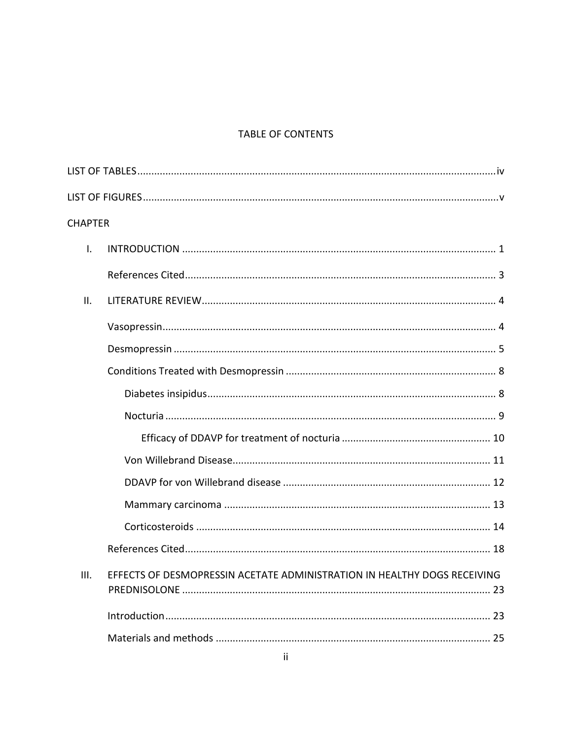# TABLE OF CONTENTS

| <b>CHAPTER</b> |                                                                          |
|----------------|--------------------------------------------------------------------------|
| $\mathsf{L}$   |                                                                          |
|                |                                                                          |
| II.            |                                                                          |
|                |                                                                          |
|                |                                                                          |
|                |                                                                          |
|                |                                                                          |
|                |                                                                          |
|                |                                                                          |
|                |                                                                          |
|                |                                                                          |
|                |                                                                          |
|                |                                                                          |
|                |                                                                          |
| III.           | EFFECTS OF DESMOPRESSIN ACETATE ADMINISTRATION IN HEALTHY DOGS RECEIVING |
|                |                                                                          |
|                |                                                                          |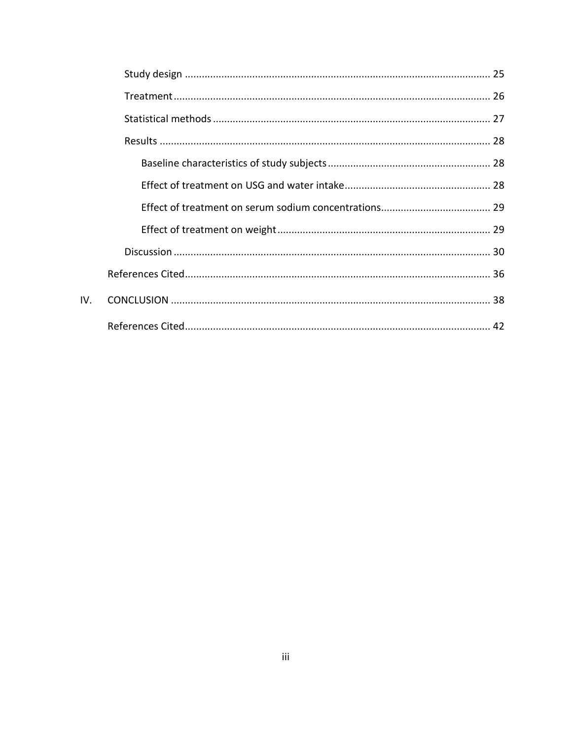IV.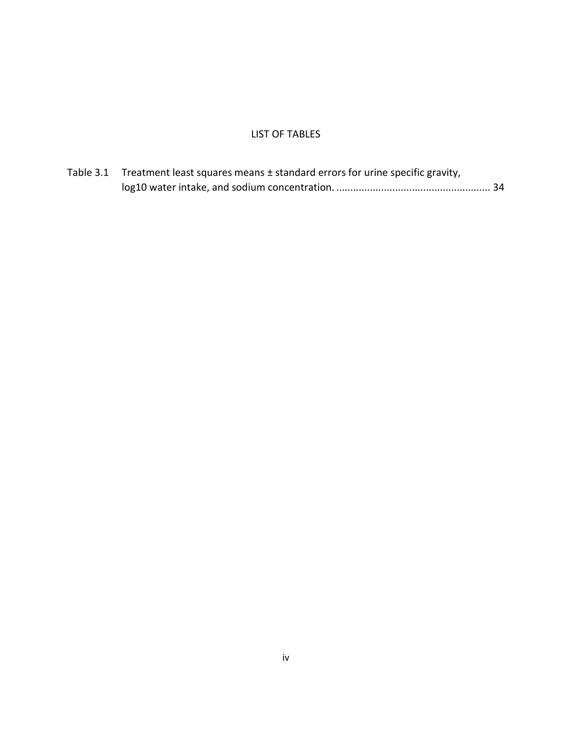# LIST OF TABLES

<span id="page-7-0"></span>

| Table 3.1 Treatment least squares means ± standard errors for urine specific gravity, |  |
|---------------------------------------------------------------------------------------|--|
|                                                                                       |  |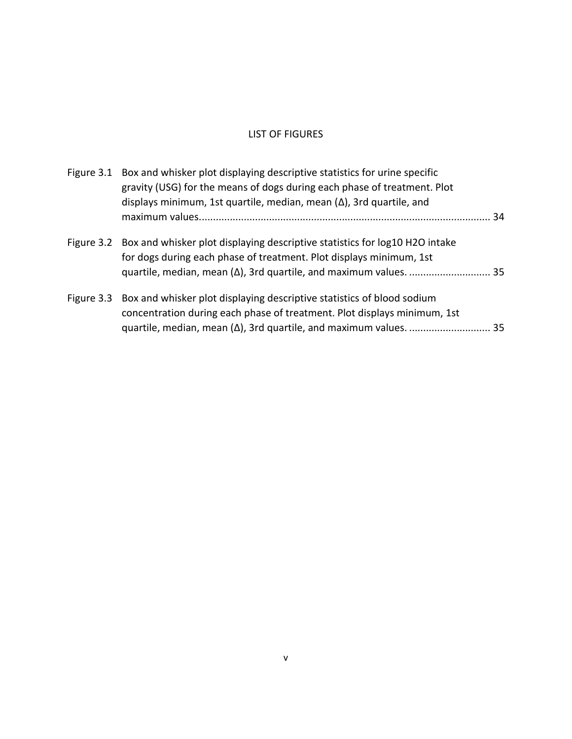# LIST OF FIGURES

<span id="page-8-0"></span>

| Figure 3.1 Box and whisker plot displaying descriptive statistics for urine specific<br>gravity (USG) for the means of dogs during each phase of treatment. Plot<br>displays minimum, 1st quartile, median, mean $(\Delta)$ , 3rd quartile, and | 34 |
|-------------------------------------------------------------------------------------------------------------------------------------------------------------------------------------------------------------------------------------------------|----|
|                                                                                                                                                                                                                                                 |    |
| Figure 3.2 Box and whisker plot displaying descriptive statistics for log10 H2O intake<br>for dogs during each phase of treatment. Plot displays minimum, 1st                                                                                   |    |
| Figure 3.3 Box and whisker plot displaying descriptive statistics of blood sodium<br>concentration during each phase of treatment. Plot displays minimum, 1st                                                                                   |    |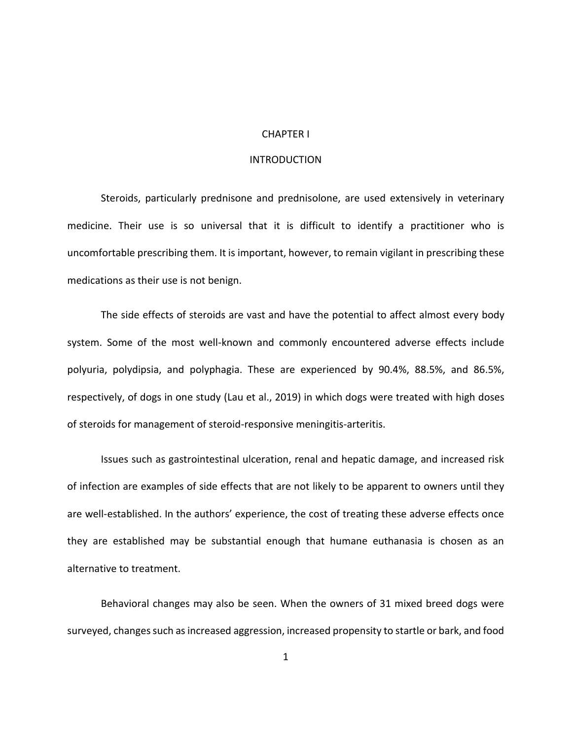# CHAPTER I

# **INTRODUCTION**

<span id="page-9-1"></span><span id="page-9-0"></span>Steroids, particularly prednisone and prednisolone, are used extensively in veterinary medicine. Their use is so universal that it is difficult to identify a practitioner who is uncomfortable prescribing them. It is important, however, to remain vigilant in prescribing these medications as their use is not benign.

The side effects of steroids are vast and have the potential to affect almost every body system. Some of the most well-known and commonly encountered adverse effects include polyuria, polydipsia, and polyphagia. These are experienced by 90.4%, 88.5%, and 86.5%, respectively, of dogs in one study (Lau et al., 2019) in which dogs were treated with high doses of steroids for management of steroid-responsive meningitis-arteritis.

Issues such as gastrointestinal ulceration, renal and hepatic damage, and increased risk of infection are examples of side effects that are not likely to be apparent to owners until they are well-established. In the authors' experience, the cost of treating these adverse effects once they are established may be substantial enough that humane euthanasia is chosen as an alternative to treatment.

Behavioral changes may also be seen. When the owners of 31 mixed breed dogs were surveyed, changes such as increased aggression, increased propensity to startle or bark, and food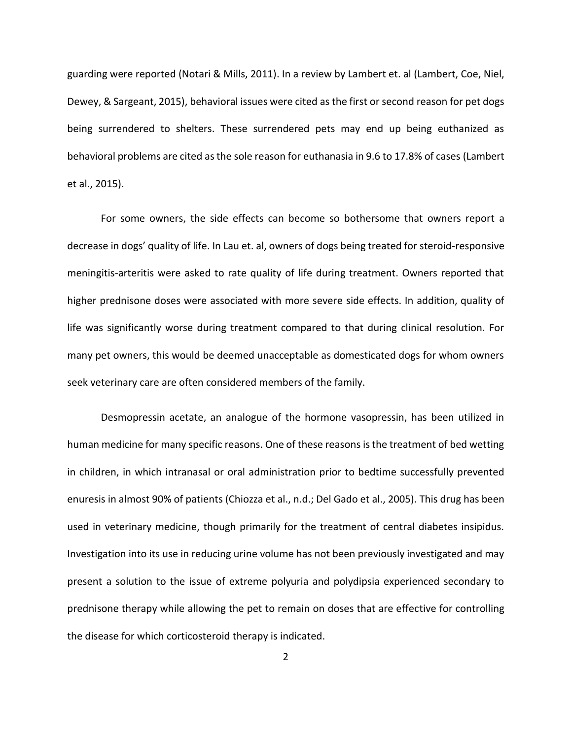guarding were reported (Notari & Mills, 2011). In a review by Lambert et. al (Lambert, Coe, Niel, Dewey, & Sargeant, 2015), behavioral issues were cited as the first or second reason for pet dogs being surrendered to shelters. These surrendered pets may end up being euthanized as behavioral problems are cited as the sole reason for euthanasia in 9.6 to 17.8% of cases (Lambert et al., 2015).

For some owners, the side effects can become so bothersome that owners report a decrease in dogs' quality of life. In Lau et. al, owners of dogs being treated for steroid-responsive meningitis-arteritis were asked to rate quality of life during treatment. Owners reported that higher prednisone doses were associated with more severe side effects. In addition, quality of life was significantly worse during treatment compared to that during clinical resolution. For many pet owners, this would be deemed unacceptable as domesticated dogs for whom owners seek veterinary care are often considered members of the family.

Desmopressin acetate, an analogue of the hormone vasopressin, has been utilized in human medicine for many specific reasons. One of these reasons is the treatment of bed wetting in children, in which intranasal or oral administration prior to bedtime successfully prevented enuresis in almost 90% of patients (Chiozza et al., n.d.; Del Gado et al., 2005). This drug has been used in veterinary medicine, though primarily for the treatment of central diabetes insipidus. Investigation into its use in reducing urine volume has not been previously investigated and may present a solution to the issue of extreme polyuria and polydipsia experienced secondary to prednisone therapy while allowing the pet to remain on doses that are effective for controlling the disease for which corticosteroid therapy is indicated.

2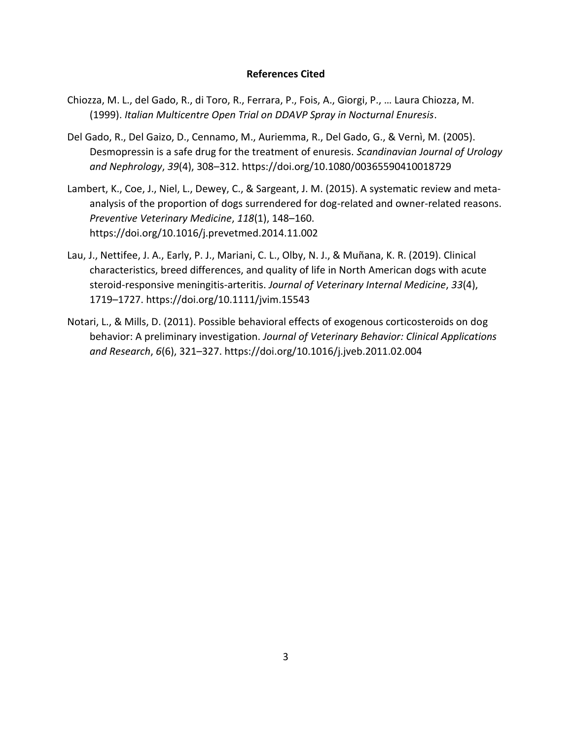# **References Cited**

- <span id="page-11-0"></span>Chiozza, M. L., del Gado, R., di Toro, R., Ferrara, P., Fois, A., Giorgi, P., … Laura Chiozza, M. (1999). *Italian Multicentre Open Trial on DDAVP Spray in Nocturnal Enuresis*.
- Del Gado, R., Del Gaizo, D., Cennamo, M., Auriemma, R., Del Gado, G., & Vernì, M. (2005). Desmopressin is a safe drug for the treatment of enuresis. *Scandinavian Journal of Urology and Nephrology*, *39*(4), 308–312. https://doi.org/10.1080/00365590410018729
- Lambert, K., Coe, J., Niel, L., Dewey, C., & Sargeant, J. M. (2015). A systematic review and metaanalysis of the proportion of dogs surrendered for dog-related and owner-related reasons. *Preventive Veterinary Medicine*, *118*(1), 148–160. https://doi.org/10.1016/j.prevetmed.2014.11.002
- Lau, J., Nettifee, J. A., Early, P. J., Mariani, C. L., Olby, N. J., & Muñana, K. R. (2019). Clinical characteristics, breed differences, and quality of life in North American dogs with acute steroid‐responsive meningitis‐arteritis. *Journal of Veterinary Internal Medicine*, *33*(4), 1719–1727. https://doi.org/10.1111/jvim.15543
- Notari, L., & Mills, D. (2011). Possible behavioral effects of exogenous corticosteroids on dog behavior: A preliminary investigation. *Journal of Veterinary Behavior: Clinical Applications and Research*, *6*(6), 321–327. https://doi.org/10.1016/j.jveb.2011.02.004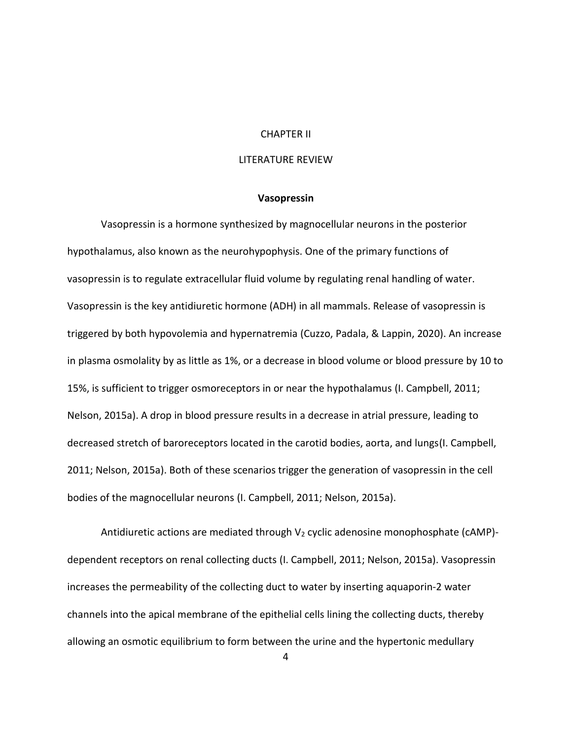## CHAPTER II

# LITERATURE REVIEW

#### **Vasopressin**

<span id="page-12-1"></span><span id="page-12-0"></span>Vasopressin is a hormone synthesized by magnocellular neurons in the posterior hypothalamus, also known as the neurohypophysis. One of the primary functions of vasopressin is to regulate extracellular fluid volume by regulating renal handling of water. Vasopressin is the key antidiuretic hormone (ADH) in all mammals. Release of vasopressin is triggered by both hypovolemia and hypernatremia (Cuzzo, Padala, & Lappin, 2020). An increase in plasma osmolality by as little as 1%, or a decrease in blood volume or blood pressure by 10 to 15%, is sufficient to trigger osmoreceptors in or near the hypothalamus (I. Campbell, 2011; Nelson, 2015a). A drop in blood pressure results in a decrease in atrial pressure, leading to decreased stretch of baroreceptors located in the carotid bodies, aorta, and lungs(I. Campbell, 2011; Nelson, 2015a). Both of these scenarios trigger the generation of vasopressin in the cell bodies of the magnocellular neurons (I. Campbell, 2011; Nelson, 2015a).

Antidiuretic actions are mediated through  $V_2$  cyclic adenosine monophosphate (cAMP)dependent receptors on renal collecting ducts (I. Campbell, 2011; Nelson, 2015a). Vasopressin increases the permeability of the collecting duct to water by inserting aquaporin-2 water channels into the apical membrane of the epithelial cells lining the collecting ducts, thereby allowing an osmotic equilibrium to form between the urine and the hypertonic medullary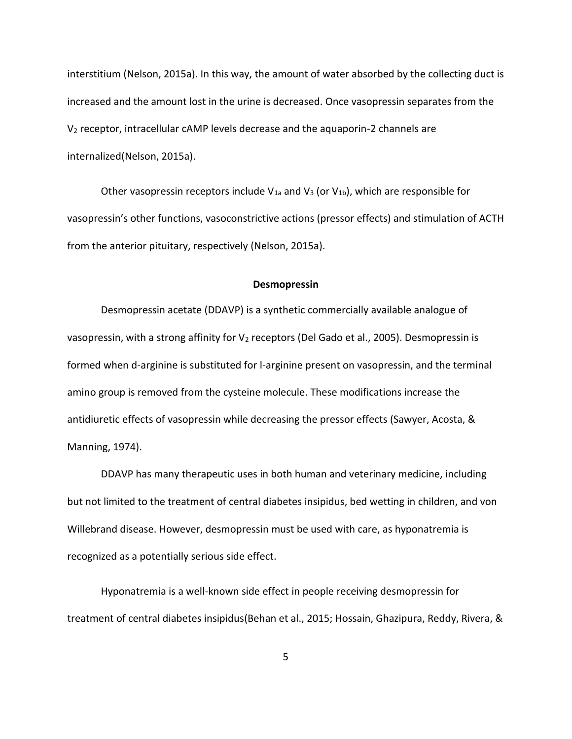interstitium (Nelson, 2015a). In this way, the amount of water absorbed by the collecting duct is increased and the amount lost in the urine is decreased. Once vasopressin separates from the V<sup>2</sup> receptor, intracellular cAMP levels decrease and the aquaporin-2 channels are internalized(Nelson, 2015a).

Other vasopressin receptors include  $V_{1a}$  and  $V_3$  (or  $V_{1b}$ ), which are responsible for vasopressin's other functions, vasoconstrictive actions (pressor effects) and stimulation of ACTH from the anterior pituitary, respectively (Nelson, 2015a).

#### **Desmopressin**

<span id="page-13-0"></span>Desmopressin acetate (DDAVP) is a synthetic commercially available analogue of vasopressin, with a strong affinity for  $V_2$  receptors (Del Gado et al., 2005). Desmopressin is formed when d-arginine is substituted for l-arginine present on vasopressin, and the terminal amino group is removed from the cysteine molecule. These modifications increase the antidiuretic effects of vasopressin while decreasing the pressor effects (Sawyer, Acosta, & Manning, 1974).

DDAVP has many therapeutic uses in both human and veterinary medicine, including but not limited to the treatment of central diabetes insipidus, bed wetting in children, and von Willebrand disease. However, desmopressin must be used with care, as hyponatremia is recognized as a potentially serious side effect.

Hyponatremia is a well-known side effect in people receiving desmopressin for treatment of central diabetes insipidus(Behan et al., 2015; Hossain, Ghazipura, Reddy, Rivera, &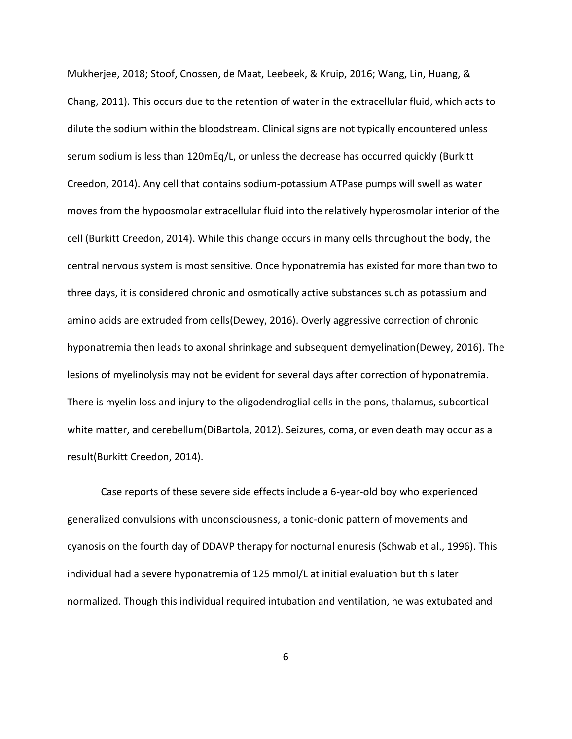Mukherjee, 2018; Stoof, Cnossen, de Maat, Leebeek, & Kruip, 2016; Wang, Lin, Huang, & Chang, 2011). This occurs due to the retention of water in the extracellular fluid, which acts to dilute the sodium within the bloodstream. Clinical signs are not typically encountered unless serum sodium is less than 120mEq/L, or unless the decrease has occurred quickly (Burkitt Creedon, 2014). Any cell that contains sodium-potassium ATPase pumps will swell as water moves from the hypoosmolar extracellular fluid into the relatively hyperosmolar interior of the cell (Burkitt Creedon, 2014). While this change occurs in many cells throughout the body, the central nervous system is most sensitive. Once hyponatremia has existed for more than two to three days, it is considered chronic and osmotically active substances such as potassium and amino acids are extruded from cells(Dewey, 2016). Overly aggressive correction of chronic hyponatremia then leads to axonal shrinkage and subsequent demyelination(Dewey, 2016). The lesions of myelinolysis may not be evident for several days after correction of hyponatremia. There is myelin loss and injury to the oligodendroglial cells in the pons, thalamus, subcortical white matter, and cerebellum(DiBartola, 2012). Seizures, coma, or even death may occur as a result(Burkitt Creedon, 2014).

Case reports of these severe side effects include a 6-year-old boy who experienced generalized convulsions with unconsciousness, a tonic-clonic pattern of movements and cyanosis on the fourth day of DDAVP therapy for nocturnal enuresis (Schwab et al., 1996). This individual had a severe hyponatremia of 125 mmol/L at initial evaluation but this later normalized. Though this individual required intubation and ventilation, he was extubated and

6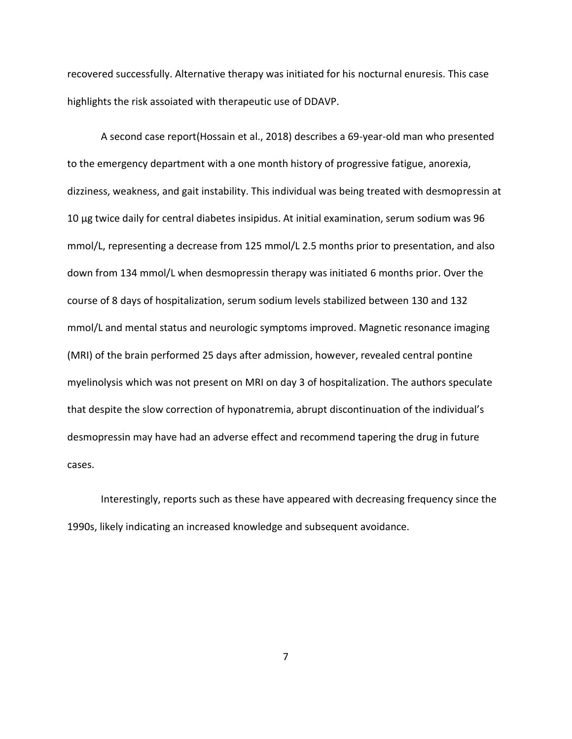recovered successfully. Alternative therapy was initiated for his nocturnal enuresis. This case highlights the risk assoiated with therapeutic use of DDAVP.

A second case report(Hossain et al., 2018) describes a 69-year-old man who presented to the emergency department with a one month history of progressive fatigue, anorexia, dizziness, weakness, and gait instability. This individual was being treated with desmopressin at 10 µg twice daily for central diabetes insipidus. At initial examination, serum sodium was 96 mmol/L, representing a decrease from 125 mmol/L 2.5 months prior to presentation, and also down from 134 mmol/L when desmopressin therapy was initiated 6 months prior. Over the course of 8 days of hospitalization, serum sodium levels stabilized between 130 and 132 mmol/L and mental status and neurologic symptoms improved. Magnetic resonance imaging (MRI) of the brain performed 25 days after admission, however, revealed central pontine myelinolysis which was not present on MRI on day 3 of hospitalization. The authors speculate that despite the slow correction of hyponatremia, abrupt discontinuation of the individual's desmopressin may have had an adverse effect and recommend tapering the drug in future cases.

Interestingly, reports such as these have appeared with decreasing frequency since the 1990s, likely indicating an increased knowledge and subsequent avoidance.

7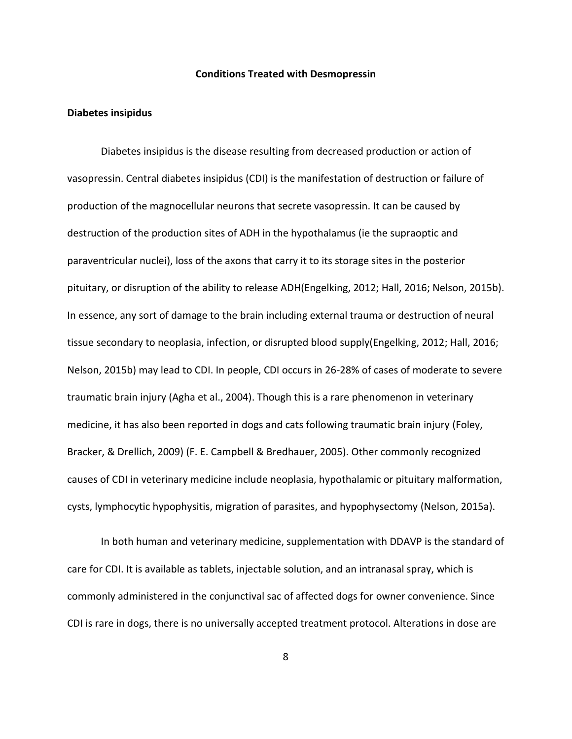#### **Conditions Treated with Desmopressin**

#### <span id="page-16-1"></span><span id="page-16-0"></span>**Diabetes insipidus**

Diabetes insipidus is the disease resulting from decreased production or action of vasopressin. Central diabetes insipidus (CDI) is the manifestation of destruction or failure of production of the magnocellular neurons that secrete vasopressin. It can be caused by destruction of the production sites of ADH in the hypothalamus (ie the supraoptic and paraventricular nuclei), loss of the axons that carry it to its storage sites in the posterior pituitary, or disruption of the ability to release ADH(Engelking, 2012; Hall, 2016; Nelson, 2015b). In essence, any sort of damage to the brain including external trauma or destruction of neural tissue secondary to neoplasia, infection, or disrupted blood supply(Engelking, 2012; Hall, 2016; Nelson, 2015b) may lead to CDI. In people, CDI occurs in 26-28% of cases of moderate to severe traumatic brain injury (Agha et al., 2004). Though this is a rare phenomenon in veterinary medicine, it has also been reported in dogs and cats following traumatic brain injury (Foley, Bracker, & Drellich, 2009) (F. E. Campbell & Bredhauer, 2005). Other commonly recognized causes of CDI in veterinary medicine include neoplasia, hypothalamic or pituitary malformation, cysts, lymphocytic hypophysitis, migration of parasites, and hypophysectomy (Nelson, 2015a).

In both human and veterinary medicine, supplementation with DDAVP is the standard of care for CDI. It is available as tablets, injectable solution, and an intranasal spray, which is commonly administered in the conjunctival sac of affected dogs for owner convenience. Since CDI is rare in dogs, there is no universally accepted treatment protocol. Alterations in dose are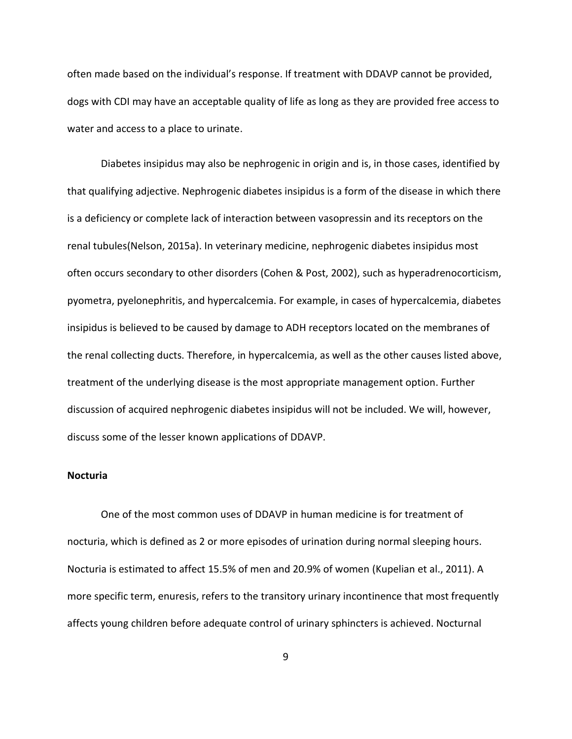often made based on the individual's response. If treatment with DDAVP cannot be provided, dogs with CDI may have an acceptable quality of life as long as they are provided free access to water and access to a place to urinate.

Diabetes insipidus may also be nephrogenic in origin and is, in those cases, identified by that qualifying adjective. Nephrogenic diabetes insipidus is a form of the disease in which there is a deficiency or complete lack of interaction between vasopressin and its receptors on the renal tubules(Nelson, 2015a). In veterinary medicine, nephrogenic diabetes insipidus most often occurs secondary to other disorders (Cohen & Post, 2002), such as hyperadrenocorticism, pyometra, pyelonephritis, and hypercalcemia. For example, in cases of hypercalcemia, diabetes insipidus is believed to be caused by damage to ADH receptors located on the membranes of the renal collecting ducts. Therefore, in hypercalcemia, as well as the other causes listed above, treatment of the underlying disease is the most appropriate management option. Further discussion of acquired nephrogenic diabetes insipidus will not be included. We will, however, discuss some of the lesser known applications of DDAVP.

#### <span id="page-17-0"></span>**Nocturia**

One of the most common uses of DDAVP in human medicine is for treatment of nocturia, which is defined as 2 or more episodes of urination during normal sleeping hours. Nocturia is estimated to affect 15.5% of men and 20.9% of women (Kupelian et al., 2011). A more specific term, enuresis, refers to the transitory urinary incontinence that most frequently affects young children before adequate control of urinary sphincters is achieved. Nocturnal

9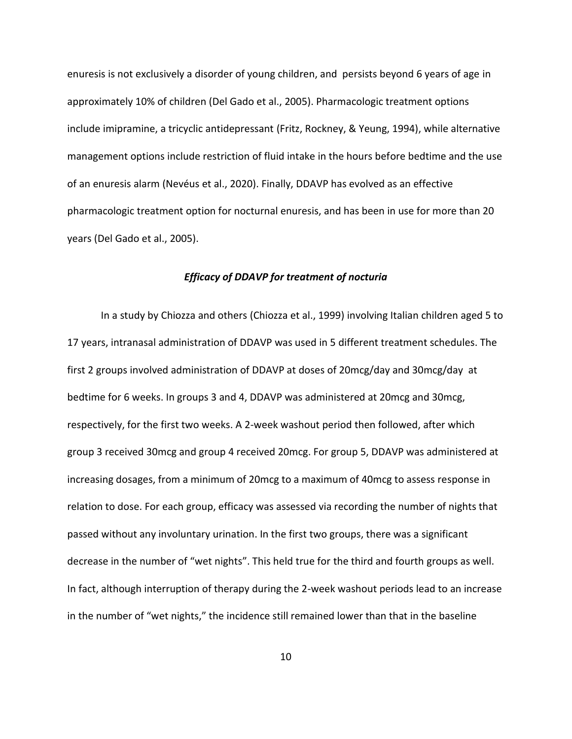enuresis is not exclusively a disorder of young children, and persists beyond 6 years of age in approximately 10% of children (Del Gado et al., 2005). Pharmacologic treatment options include imipramine, a tricyclic antidepressant (Fritz, Rockney, & Yeung, 1994), while alternative management options include restriction of fluid intake in the hours before bedtime and the use of an enuresis alarm (Nevéus et al., 2020). Finally, DDAVP has evolved as an effective pharmacologic treatment option for nocturnal enuresis, and has been in use for more than 20 years (Del Gado et al., 2005).

# *Efficacy of DDAVP for treatment of nocturia*

<span id="page-18-0"></span>In a study by Chiozza and others (Chiozza et al., 1999) involving Italian children aged 5 to 17 years, intranasal administration of DDAVP was used in 5 different treatment schedules. The first 2 groups involved administration of DDAVP at doses of 20mcg/day and 30mcg/day at bedtime for 6 weeks. In groups 3 and 4, DDAVP was administered at 20mcg and 30mcg, respectively, for the first two weeks. A 2-week washout period then followed, after which group 3 received 30mcg and group 4 received 20mcg. For group 5, DDAVP was administered at increasing dosages, from a minimum of 20mcg to a maximum of 40mcg to assess response in relation to dose. For each group, efficacy was assessed via recording the number of nights that passed without any involuntary urination. In the first two groups, there was a significant decrease in the number of "wet nights". This held true for the third and fourth groups as well. In fact, although interruption of therapy during the 2-week washout periods lead to an increase in the number of "wet nights," the incidence still remained lower than that in the baseline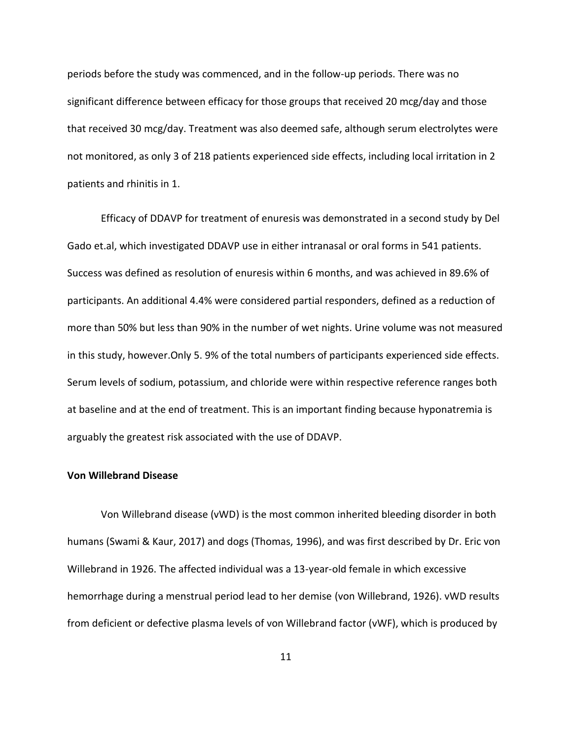periods before the study was commenced, and in the follow-up periods. There was no significant difference between efficacy for those groups that received 20 mcg/day and those that received 30 mcg/day. Treatment was also deemed safe, although serum electrolytes were not monitored, as only 3 of 218 patients experienced side effects, including local irritation in 2 patients and rhinitis in 1.

Efficacy of DDAVP for treatment of enuresis was demonstrated in a second study by Del Gado et.al, which investigated DDAVP use in either intranasal or oral forms in 541 patients. Success was defined as resolution of enuresis within 6 months, and was achieved in 89.6% of participants. An additional 4.4% were considered partial responders, defined as a reduction of more than 50% but less than 90% in the number of wet nights. Urine volume was not measured in this study, however.Only 5. 9% of the total numbers of participants experienced side effects. Serum levels of sodium, potassium, and chloride were within respective reference ranges both at baseline and at the end of treatment. This is an important finding because hyponatremia is arguably the greatest risk associated with the use of DDAVP.

### <span id="page-19-0"></span>**Von Willebrand Disease**

Von Willebrand disease (vWD) is the most common inherited bleeding disorder in both humans (Swami & Kaur, 2017) and dogs (Thomas, 1996), and was first described by Dr. Eric von Willebrand in 1926. The affected individual was a 13-year-old female in which excessive hemorrhage during a menstrual period lead to her demise (von Willebrand, 1926). vWD results from deficient or defective plasma levels of von Willebrand factor (vWF), which is produced by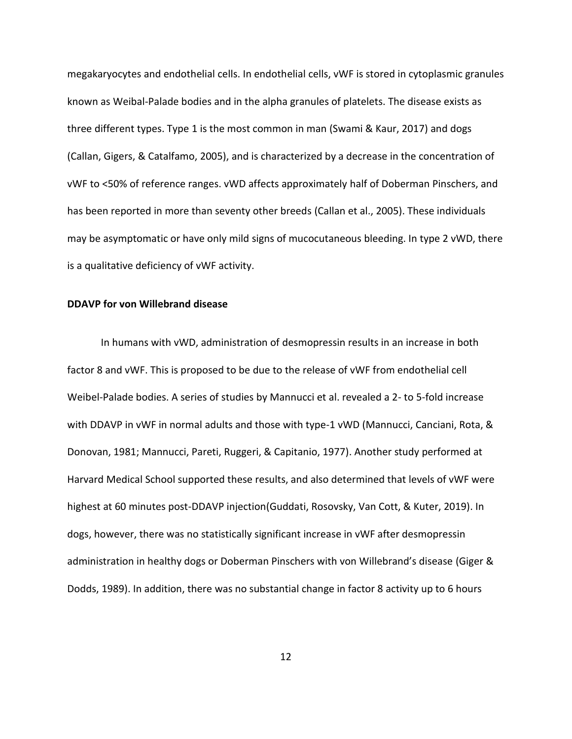megakaryocytes and endothelial cells. In endothelial cells, vWF is stored in cytoplasmic granules known as Weibal-Palade bodies and in the alpha granules of platelets. The disease exists as three different types. Type 1 is the most common in man (Swami & Kaur, 2017) and dogs (Callan, Gigers, & Catalfamo, 2005), and is characterized by a decrease in the concentration of vWF to <50% of reference ranges. vWD affects approximately half of Doberman Pinschers, and has been reported in more than seventy other breeds (Callan et al., 2005). These individuals may be asymptomatic or have only mild signs of mucocutaneous bleeding. In type 2 vWD, there is a qualitative deficiency of vWF activity.

# <span id="page-20-0"></span>**DDAVP for von Willebrand disease**

In humans with vWD, administration of desmopressin results in an increase in both factor 8 and vWF. This is proposed to be due to the release of vWF from endothelial cell Weibel-Palade bodies. A series of studies by Mannucci et al. revealed a 2- to 5-fold increase with DDAVP in vWF in normal adults and those with type-1 vWD (Mannucci, Canciani, Rota, & Donovan, 1981; Mannucci, Pareti, Ruggeri, & Capitanio, 1977). Another study performed at Harvard Medical School supported these results, and also determined that levels of vWF were highest at 60 minutes post-DDAVP injection(Guddati, Rosovsky, Van Cott, & Kuter, 2019). In dogs, however, there was no statistically significant increase in vWF after desmopressin administration in healthy dogs or Doberman Pinschers with von Willebrand's disease (Giger & Dodds, 1989). In addition, there was no substantial change in factor 8 activity up to 6 hours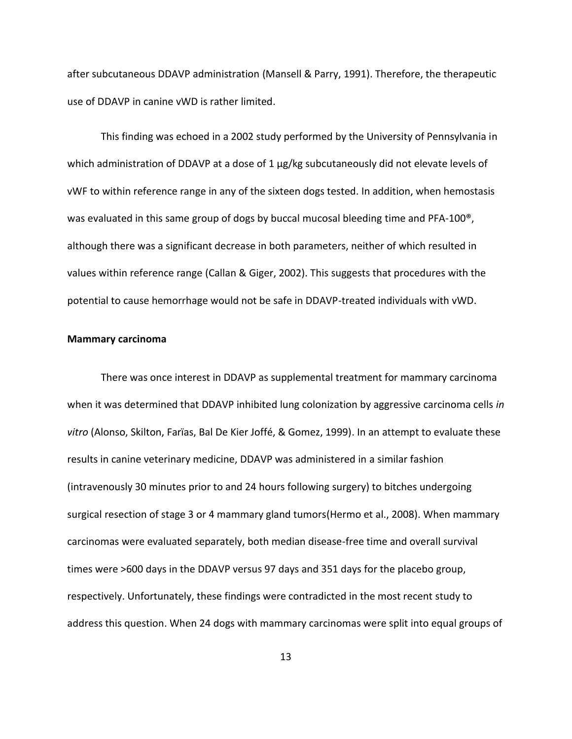after subcutaneous DDAVP administration (Mansell & Parry, 1991). Therefore, the therapeutic use of DDAVP in canine vWD is rather limited.

This finding was echoed in a 2002 study performed by the University of Pennsylvania in which administration of DDAVP at a dose of 1 µg/kg subcutaneously did not elevate levels of vWF to within reference range in any of the sixteen dogs tested. In addition, when hemostasis was evaluated in this same group of dogs by buccal mucosal bleeding time and PFA-100<sup>®</sup>, although there was a significant decrease in both parameters, neither of which resulted in values within reference range (Callan & Giger, 2002). This suggests that procedures with the potential to cause hemorrhage would not be safe in DDAVP-treated individuals with vWD.

# <span id="page-21-0"></span>**Mammary carcinoma**

There was once interest in DDAVP as supplemental treatment for mammary carcinoma when it was determined that DDAVP inhibited lung colonization by aggressive carcinoma cells *in vitro* (Alonso, Skilton, Farïas, Bal De Kier Joffé, & Gomez, 1999). In an attempt to evaluate these results in canine veterinary medicine, DDAVP was administered in a similar fashion (intravenously 30 minutes prior to and 24 hours following surgery) to bitches undergoing surgical resection of stage 3 or 4 mammary gland tumors(Hermo et al., 2008). When mammary carcinomas were evaluated separately, both median disease-free time and overall survival times were >600 days in the DDAVP versus 97 days and 351 days for the placebo group, respectively. Unfortunately, these findings were contradicted in the most recent study to address this question. When 24 dogs with mammary carcinomas were split into equal groups of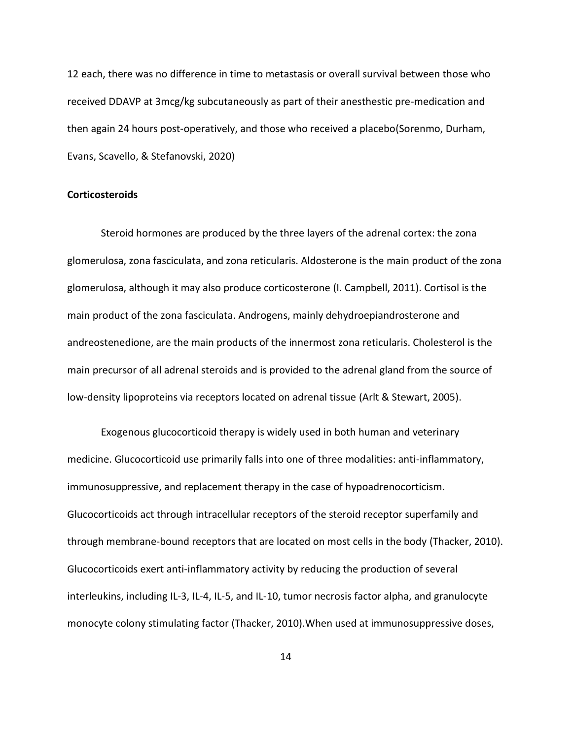12 each, there was no difference in time to metastasis or overall survival between those who received DDAVP at 3mcg/kg subcutaneously as part of their anesthestic pre-medication and then again 24 hours post-operatively, and those who received a placebo(Sorenmo, Durham, Evans, Scavello, & Stefanovski, 2020)

# <span id="page-22-0"></span>**Corticosteroids**

Steroid hormones are produced by the three layers of the adrenal cortex: the zona glomerulosa, zona fasciculata, and zona reticularis. Aldosterone is the main product of the zona glomerulosa, although it may also produce corticosterone (I. Campbell, 2011). Cortisol is the main product of the zona fasciculata. Androgens, mainly dehydroepiandrosterone and andreostenedione, are the main products of the innermost zona reticularis. Cholesterol is the main precursor of all adrenal steroids and is provided to the adrenal gland from the source of low-density lipoproteins via receptors located on adrenal tissue (Arlt & Stewart, 2005).

Exogenous glucocorticoid therapy is widely used in both human and veterinary medicine. Glucocorticoid use primarily falls into one of three modalities: anti-inflammatory, immunosuppressive, and replacement therapy in the case of hypoadrenocorticism. Glucocorticoids act through intracellular receptors of the steroid receptor superfamily and through membrane-bound receptors that are located on most cells in the body (Thacker, 2010). Glucocorticoids exert anti-inflammatory activity by reducing the production of several interleukins, including IL-3, IL-4, IL-5, and IL-10, tumor necrosis factor alpha, and granulocyte monocyte colony stimulating factor (Thacker, 2010).When used at immunosuppressive doses,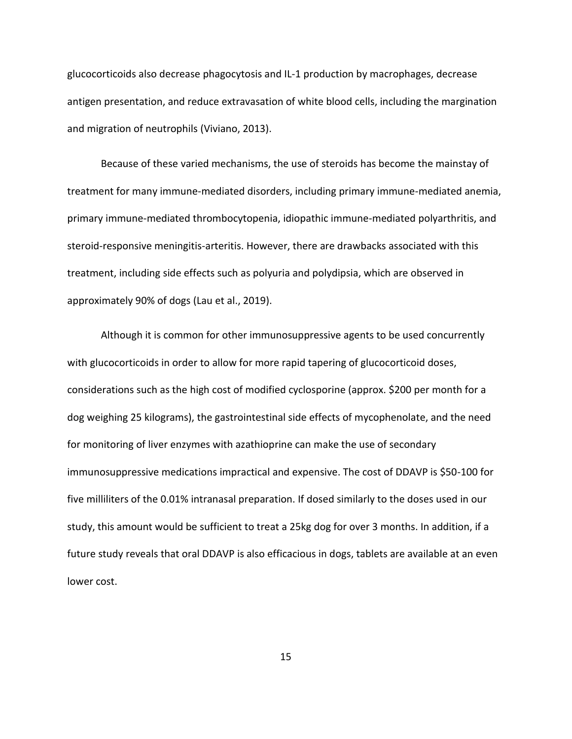glucocorticoids also decrease phagocytosis and IL-1 production by macrophages, decrease antigen presentation, and reduce extravasation of white blood cells, including the margination and migration of neutrophils (Viviano, 2013).

Because of these varied mechanisms, the use of steroids has become the mainstay of treatment for many immune-mediated disorders, including primary immune-mediated anemia, primary immune-mediated thrombocytopenia, idiopathic immune-mediated polyarthritis, and steroid-responsive meningitis-arteritis. However, there are drawbacks associated with this treatment, including side effects such as polyuria and polydipsia, which are observed in approximately 90% of dogs (Lau et al., 2019).

Although it is common for other immunosuppressive agents to be used concurrently with glucocorticoids in order to allow for more rapid tapering of glucocorticoid doses, considerations such as the high cost of modified cyclosporine (approx. \$200 per month for a dog weighing 25 kilograms), the gastrointestinal side effects of mycophenolate, and the need for monitoring of liver enzymes with azathioprine can make the use of secondary immunosuppressive medications impractical and expensive. The cost of DDAVP is \$50-100 for five milliliters of the 0.01% intranasal preparation. If dosed similarly to the doses used in our study, this amount would be sufficient to treat a 25kg dog for over 3 months. In addition, if a future study reveals that oral DDAVP is also efficacious in dogs, tablets are available at an even lower cost.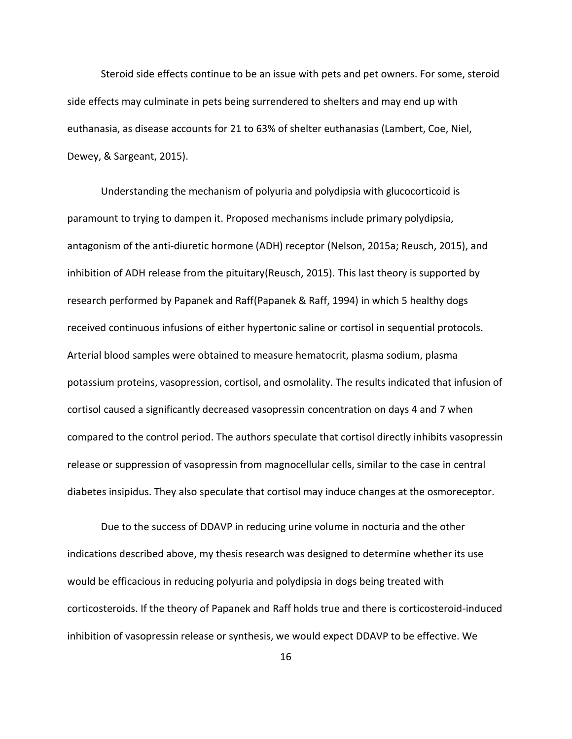Steroid side effects continue to be an issue with pets and pet owners. For some, steroid side effects may culminate in pets being surrendered to shelters and may end up with euthanasia, as disease accounts for 21 to 63% of shelter euthanasias (Lambert, Coe, Niel, Dewey, & Sargeant, 2015).

Understanding the mechanism of polyuria and polydipsia with glucocorticoid is paramount to trying to dampen it. Proposed mechanisms include primary polydipsia, antagonism of the anti-diuretic hormone (ADH) receptor (Nelson, 2015a; Reusch, 2015), and inhibition of ADH release from the pituitary(Reusch, 2015). This last theory is supported by research performed by Papanek and Raff(Papanek & Raff, 1994) in which 5 healthy dogs received continuous infusions of either hypertonic saline or cortisol in sequential protocols. Arterial blood samples were obtained to measure hematocrit, plasma sodium, plasma potassium proteins, vasopression, cortisol, and osmolality. The results indicated that infusion of cortisol caused a significantly decreased vasopressin concentration on days 4 and 7 when compared to the control period. The authors speculate that cortisol directly inhibits vasopressin release or suppression of vasopressin from magnocellular cells, similar to the case in central diabetes insipidus. They also speculate that cortisol may induce changes at the osmoreceptor.

Due to the success of DDAVP in reducing urine volume in nocturia and the other indications described above, my thesis research was designed to determine whether its use would be efficacious in reducing polyuria and polydipsia in dogs being treated with corticosteroids. If the theory of Papanek and Raff holds true and there is corticosteroid-induced inhibition of vasopressin release or synthesis, we would expect DDAVP to be effective. We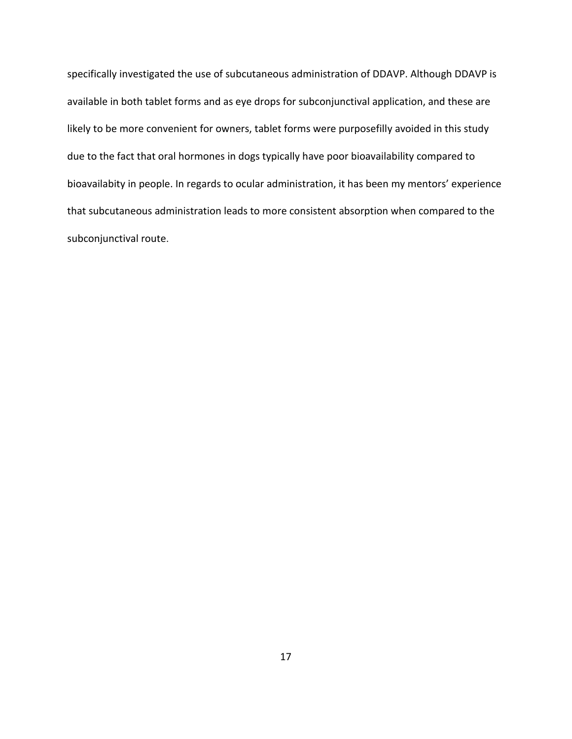specifically investigated the use of subcutaneous administration of DDAVP. Although DDAVP is available in both tablet forms and as eye drops for subconjunctival application, and these are likely to be more convenient for owners, tablet forms were purposefilly avoided in this study due to the fact that oral hormones in dogs typically have poor bioavailability compared to bioavailabity in people. In regards to ocular administration, it has been my mentors' experience that subcutaneous administration leads to more consistent absorption when compared to the subconjunctival route.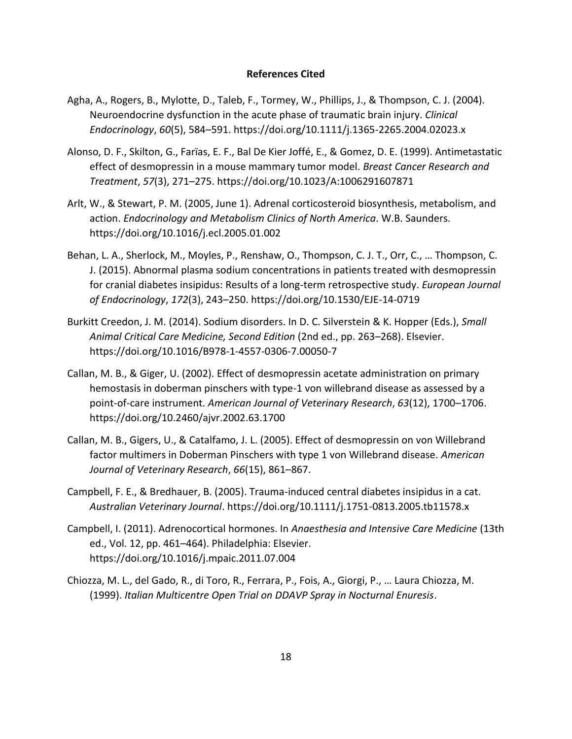### **References Cited**

- <span id="page-26-0"></span>Agha, A., Rogers, B., Mylotte, D., Taleb, F., Tormey, W., Phillips, J., & Thompson, C. J. (2004). Neuroendocrine dysfunction in the acute phase of traumatic brain injury. *Clinical Endocrinology*, *60*(5), 584–591. https://doi.org/10.1111/j.1365-2265.2004.02023.x
- Alonso, D. F., Skilton, G., Farïas, E. F., Bal De Kier Joffé, E., & Gomez, D. E. (1999). Antimetastatic effect of desmopressin in a mouse mammary tumor model. *Breast Cancer Research and Treatment*, *57*(3), 271–275. https://doi.org/10.1023/A:1006291607871
- Arlt, W., & Stewart, P. M. (2005, June 1). Adrenal corticosteroid biosynthesis, metabolism, and action. *Endocrinology and Metabolism Clinics of North America*. W.B. Saunders. https://doi.org/10.1016/j.ecl.2005.01.002
- Behan, L. A., Sherlock, M., Moyles, P., Renshaw, O., Thompson, C. J. T., Orr, C., … Thompson, C. J. (2015). Abnormal plasma sodium concentrations in patients treated with desmopressin for cranial diabetes insipidus: Results of a long-term retrospective study. *European Journal of Endocrinology*, *172*(3), 243–250. https://doi.org/10.1530/EJE-14-0719
- Burkitt Creedon, J. M. (2014). Sodium disorders. In D. C. Silverstein & K. Hopper (Eds.), *Small Animal Critical Care Medicine, Second Edition* (2nd ed., pp. 263–268). Elsevier. https://doi.org/10.1016/B978-1-4557-0306-7.00050-7
- Callan, M. B., & Giger, U. (2002). Effect of desmopressin acetate administration on primary hemostasis in doberman pinschers with type-1 von willebrand disease as assessed by a point-of-care instrument. *American Journal of Veterinary Research*, *63*(12), 1700–1706. https://doi.org/10.2460/ajvr.2002.63.1700
- Callan, M. B., Gigers, U., & Catalfamo, J. L. (2005). Effect of desmopressin on von Willebrand factor multimers in Doberman Pinschers with type 1 von Willebrand disease. *American Journal of Veterinary Research*, *66*(15), 861–867.
- Campbell, F. E., & Bredhauer, B. (2005). Trauma-induced central diabetes insipidus in a cat. *Australian Veterinary Journal*. https://doi.org/10.1111/j.1751-0813.2005.tb11578.x
- Campbell, I. (2011). Adrenocortical hormones. In *Anaesthesia and Intensive Care Medicine* (13th ed., Vol. 12, pp. 461–464). Philadelphia: Elsevier. https://doi.org/10.1016/j.mpaic.2011.07.004
- Chiozza, M. L., del Gado, R., di Toro, R., Ferrara, P., Fois, A., Giorgi, P., … Laura Chiozza, M. (1999). *Italian Multicentre Open Trial on DDAVP Spray in Nocturnal Enuresis*.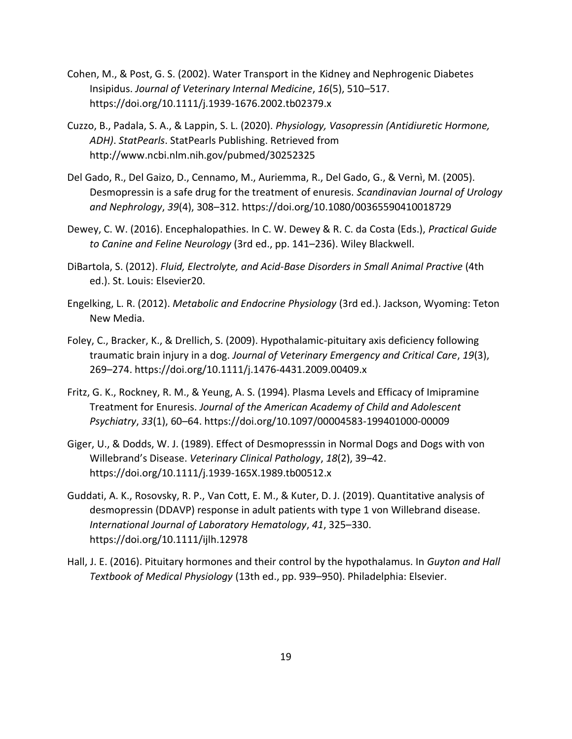- Cohen, M., & Post, G. S. (2002). Water Transport in the Kidney and Nephrogenic Diabetes Insipidus. *Journal of Veterinary Internal Medicine*, *16*(5), 510–517. https://doi.org/10.1111/j.1939-1676.2002.tb02379.x
- Cuzzo, B., Padala, S. A., & Lappin, S. L. (2020). *Physiology, Vasopressin (Antidiuretic Hormone, ADH)*. *StatPearls*. StatPearls Publishing. Retrieved from http://www.ncbi.nlm.nih.gov/pubmed/30252325
- Del Gado, R., Del Gaizo, D., Cennamo, M., Auriemma, R., Del Gado, G., & Vernì, M. (2005). Desmopressin is a safe drug for the treatment of enuresis. *Scandinavian Journal of Urology and Nephrology*, *39*(4), 308–312. https://doi.org/10.1080/00365590410018729
- Dewey, C. W. (2016). Encephalopathies. In C. W. Dewey & R. C. da Costa (Eds.), *Practical Guide to Canine and Feline Neurology* (3rd ed., pp. 141–236). Wiley Blackwell.
- DiBartola, S. (2012). *Fluid, Electrolyte, and Acid-Base Disorders in Small Animal Practive* (4th ed.). St. Louis: Elsevier20.
- Engelking, L. R. (2012). *Metabolic and Endocrine Physiology* (3rd ed.). Jackson, Wyoming: Teton New Media.
- Foley, C., Bracker, K., & Drellich, S. (2009). Hypothalamic-pituitary axis deficiency following traumatic brain injury in a dog. *Journal of Veterinary Emergency and Critical Care*, *19*(3), 269–274. https://doi.org/10.1111/j.1476-4431.2009.00409.x
- Fritz, G. K., Rockney, R. M., & Yeung, A. S. (1994). Plasma Levels and Efficacy of Imipramine Treatment for Enuresis. *Journal of the American Academy of Child and Adolescent Psychiatry*, *33*(1), 60–64. https://doi.org/10.1097/00004583-199401000-00009
- Giger, U., & Dodds, W. J. (1989). Effect of Desmopresssin in Normal Dogs and Dogs with von Willebrand's Disease. *Veterinary Clinical Pathology*, *18*(2), 39–42. https://doi.org/10.1111/j.1939-165X.1989.tb00512.x
- Guddati, A. K., Rosovsky, R. P., Van Cott, E. M., & Kuter, D. J. (2019). Quantitative analysis of desmopressin (DDAVP) response in adult patients with type 1 von Willebrand disease. *International Journal of Laboratory Hematology*, *41*, 325–330. https://doi.org/10.1111/ijlh.12978
- Hall, J. E. (2016). Pituitary hormones and their control by the hypothalamus. In *Guyton and Hall Textbook of Medical Physiology* (13th ed., pp. 939–950). Philadelphia: Elsevier.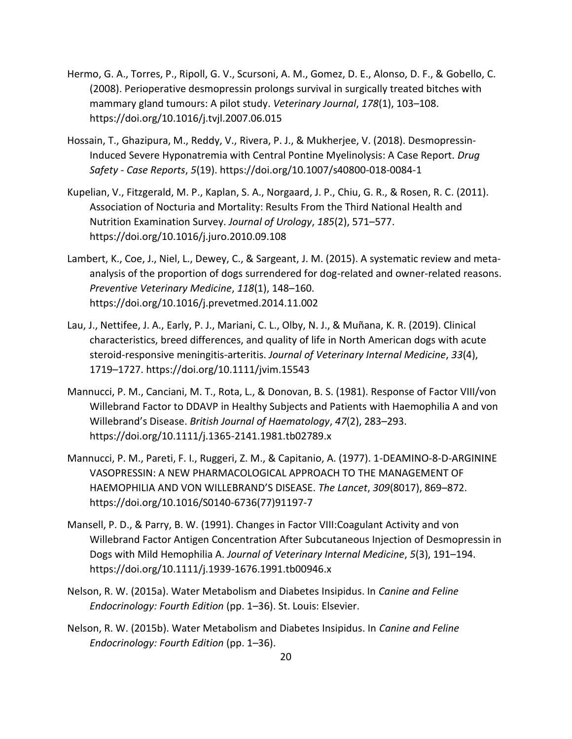- Hermo, G. A., Torres, P., Ripoll, G. V., Scursoni, A. M., Gomez, D. E., Alonso, D. F., & Gobello, C. (2008). Perioperative desmopressin prolongs survival in surgically treated bitches with mammary gland tumours: A pilot study. *Veterinary Journal*, *178*(1), 103–108. https://doi.org/10.1016/j.tvjl.2007.06.015
- Hossain, T., Ghazipura, M., Reddy, V., Rivera, P. J., & Mukherjee, V. (2018). Desmopressin-Induced Severe Hyponatremia with Central Pontine Myelinolysis: A Case Report. *Drug Safety - Case Reports*, *5*(19). https://doi.org/10.1007/s40800-018-0084-1
- Kupelian, V., Fitzgerald, M. P., Kaplan, S. A., Norgaard, J. P., Chiu, G. R., & Rosen, R. C. (2011). Association of Nocturia and Mortality: Results From the Third National Health and Nutrition Examination Survey. *Journal of Urology*, *185*(2), 571–577. https://doi.org/10.1016/j.juro.2010.09.108
- Lambert, K., Coe, J., Niel, L., Dewey, C., & Sargeant, J. M. (2015). A systematic review and metaanalysis of the proportion of dogs surrendered for dog-related and owner-related reasons. *Preventive Veterinary Medicine*, *118*(1), 148–160. https://doi.org/10.1016/j.prevetmed.2014.11.002
- Lau, J., Nettifee, J. A., Early, P. J., Mariani, C. L., Olby, N. J., & Muñana, K. R. (2019). Clinical characteristics, breed differences, and quality of life in North American dogs with acute steroid‐responsive meningitis‐arteritis. *Journal of Veterinary Internal Medicine*, *33*(4), 1719–1727. https://doi.org/10.1111/jvim.15543
- Mannucci, P. M., Canciani, M. T., Rota, L., & Donovan, B. S. (1981). Response of Factor VIII/von Willebrand Factor to DDAVP in Healthy Subjects and Patients with Haemophilia A and von Willebrand's Disease. *British Journal of Haematology*, *47*(2), 283–293. https://doi.org/10.1111/j.1365-2141.1981.tb02789.x
- Mannucci, P. M., Pareti, F. I., Ruggeri, Z. M., & Capitanio, A. (1977). 1-DEAMINO-8-D-ARGININE VASOPRESSIN: A NEW PHARMACOLOGICAL APPROACH TO THE MANAGEMENT OF HAEMOPHILIA AND VON WILLEBRAND'S DISEASE. *The Lancet*, *309*(8017), 869–872. https://doi.org/10.1016/S0140-6736(77)91197-7
- Mansell, P. D., & Parry, B. W. (1991). Changes in Factor VIII:Coagulant Activity and von Willebrand Factor Antigen Concentration After Subcutaneous Injection of Desmopressin in Dogs with Mild Hemophilia A. *Journal of Veterinary Internal Medicine*, *5*(3), 191–194. https://doi.org/10.1111/j.1939-1676.1991.tb00946.x
- Nelson, R. W. (2015a). Water Metabolism and Diabetes Insipidus. In *Canine and Feline Endocrinology: Fourth Edition* (pp. 1–36). St. Louis: Elsevier.
- Nelson, R. W. (2015b). Water Metabolism and Diabetes Insipidus. In *Canine and Feline Endocrinology: Fourth Edition* (pp. 1–36).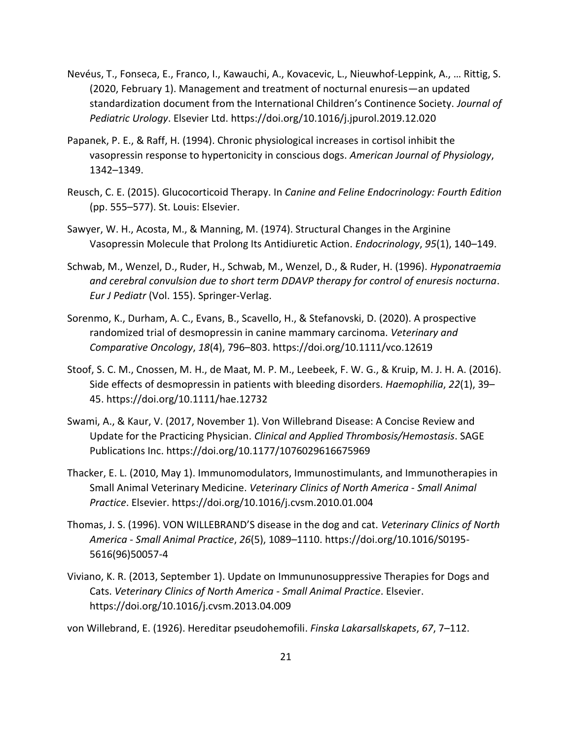- Nevéus, T., Fonseca, E., Franco, I., Kawauchi, A., Kovacevic, L., Nieuwhof-Leppink, A., … Rittig, S. (2020, February 1). Management and treatment of nocturnal enuresis—an updated standardization document from the International Children's Continence Society. *Journal of Pediatric Urology*. Elsevier Ltd. https://doi.org/10.1016/j.jpurol.2019.12.020
- Papanek, P. E., & Raff, H. (1994). Chronic physiological increases in cortisol inhibit the vasopressin response to hypertonicity in conscious dogs. *American Journal of Physiology*, 1342–1349.
- Reusch, C. E. (2015). Glucocorticoid Therapy. In *Canine and Feline Endocrinology: Fourth Edition* (pp. 555–577). St. Louis: Elsevier.
- Sawyer, W. H., Acosta, M., & Manning, M. (1974). Structural Changes in the Arginine Vasopressin Molecule that Prolong Its Antidiuretic Action. *Endocrinology*, *95*(1), 140–149.
- Schwab, M., Wenzel, D., Ruder, H., Schwab, M., Wenzel, D., & Ruder, H. (1996). *Hyponatraemia and cerebral convulsion due to short term DDAVP therapy for control of enuresis nocturna*. *Eur J Pediatr* (Vol. 155). Springer-Verlag.
- Sorenmo, K., Durham, A. C., Evans, B., Scavello, H., & Stefanovski, D. (2020). A prospective randomized trial of desmopressin in canine mammary carcinoma. *Veterinary and Comparative Oncology*, *18*(4), 796–803. https://doi.org/10.1111/vco.12619
- Stoof, S. C. M., Cnossen, M. H., de Maat, M. P. M., Leebeek, F. W. G., & Kruip, M. J. H. A. (2016). Side effects of desmopressin in patients with bleeding disorders. *Haemophilia*, *22*(1), 39– 45. https://doi.org/10.1111/hae.12732
- Swami, A., & Kaur, V. (2017, November 1). Von Willebrand Disease: A Concise Review and Update for the Practicing Physician. *Clinical and Applied Thrombosis/Hemostasis*. SAGE Publications Inc. https://doi.org/10.1177/1076029616675969
- Thacker, E. L. (2010, May 1). Immunomodulators, Immunostimulants, and Immunotherapies in Small Animal Veterinary Medicine. *Veterinary Clinics of North America - Small Animal Practice*. Elsevier. https://doi.org/10.1016/j.cvsm.2010.01.004
- Thomas, J. S. (1996). VON WILLEBRAND'S disease in the dog and cat. *Veterinary Clinics of North America - Small Animal Practice*, *26*(5), 1089–1110. https://doi.org/10.1016/S0195- 5616(96)50057-4
- Viviano, K. R. (2013, September 1). Update on Immununosuppressive Therapies for Dogs and Cats. *Veterinary Clinics of North America - Small Animal Practice*. Elsevier. https://doi.org/10.1016/j.cvsm.2013.04.009

von Willebrand, E. (1926). Hereditar pseudohemofili. *Finska Lakarsallskapets*, *67*, 7–112.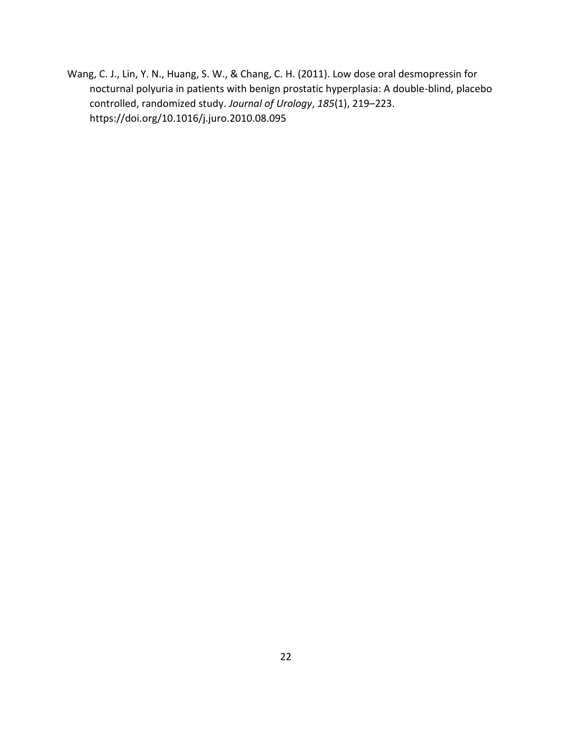Wang, C. J., Lin, Y. N., Huang, S. W., & Chang, C. H. (2011). Low dose oral desmopressin for nocturnal polyuria in patients with benign prostatic hyperplasia: A double-blind, placebo controlled, randomized study. *Journal of Urology*, *185*(1), 219–223. https://doi.org/10.1016/j.juro.2010.08.095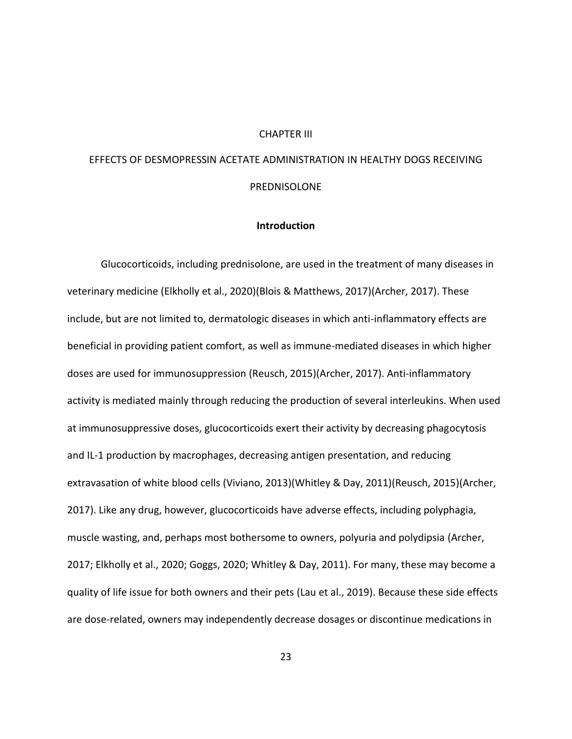#### CHAPTER III

# <span id="page-31-0"></span>EFFECTS OF DESMOPRESSIN ACETATE ADMINISTRATION IN HEALTHY DOGS RECEIVING PREDNISOLONE

#### **Introduction**

<span id="page-31-1"></span>Glucocorticoids, including prednisolone, are used in the treatment of many diseases in veterinary medicine (Elkholly et al., 2020)(Blois & Matthews, 2017)(Archer, 2017). These include, but are not limited to, dermatologic diseases in which anti-inflammatory effects are beneficial in providing patient comfort, as well as immune-mediated diseases in which higher doses are used for immunosuppression (Reusch, 2015)(Archer, 2017). Anti-inflammatory activity is mediated mainly through reducing the production of several interleukins. When used at immunosuppressive doses, glucocorticoids exert their activity by decreasing phagocytosis and IL-1 production by macrophages, decreasing antigen presentation, and reducing extravasation of white blood cells (Viviano, 2013)(Whitley & Day, 2011)(Reusch, 2015)(Archer, 2017). Like any drug, however, glucocorticoids have adverse effects, including polyphagia, muscle wasting, and, perhaps most bothersome to owners, polyuria and polydipsia (Archer, 2017; Elkholly et al., 2020; Goggs, 2020; Whitley & Day, 2011). For many, these may become a quality of life issue for both owners and their pets (Lau et al., 2019). Because these side effects are dose-related, owners may independently decrease dosages or discontinue medications in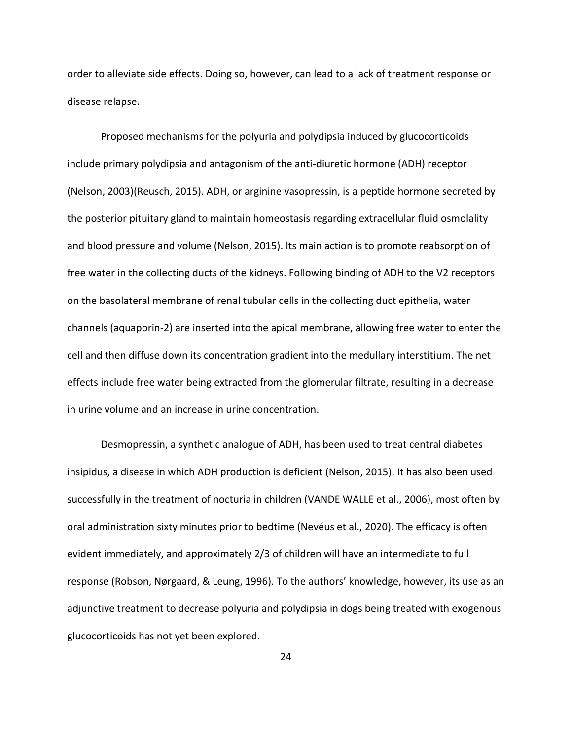order to alleviate side effects. Doing so, however, can lead to a lack of treatment response or disease relapse.

Proposed mechanisms for the polyuria and polydipsia induced by glucocorticoids include primary polydipsia and antagonism of the anti-diuretic hormone (ADH) receptor (Nelson, 2003)(Reusch, 2015). ADH, or arginine vasopressin, is a peptide hormone secreted by the posterior pituitary gland to maintain homeostasis regarding extracellular fluid osmolality and blood pressure and volume (Nelson, 2015). Its main action is to promote reabsorption of free water in the collecting ducts of the kidneys. Following binding of ADH to the V2 receptors on the basolateral membrane of renal tubular cells in the collecting duct epithelia, water channels (aquaporin-2) are inserted into the apical membrane, allowing free water to enter the cell and then diffuse down its concentration gradient into the medullary interstitium. The net effects include free water being extracted from the glomerular filtrate, resulting in a decrease in urine volume and an increase in urine concentration.

Desmopressin, a synthetic analogue of ADH, has been used to treat central diabetes insipidus, a disease in which ADH production is deficient (Nelson, 2015). It has also been used successfully in the treatment of nocturia in children (VANDE WALLE et al., 2006), most often by oral administration sixty minutes prior to bedtime (Nevéus et al., 2020). The efficacy is often evident immediately, and approximately 2/3 of children will have an intermediate to full response (Robson, Nørgaard, & Leung, 1996). To the authors' knowledge, however, its use as an adjunctive treatment to decrease polyuria and polydipsia in dogs being treated with exogenous glucocorticoids has not yet been explored.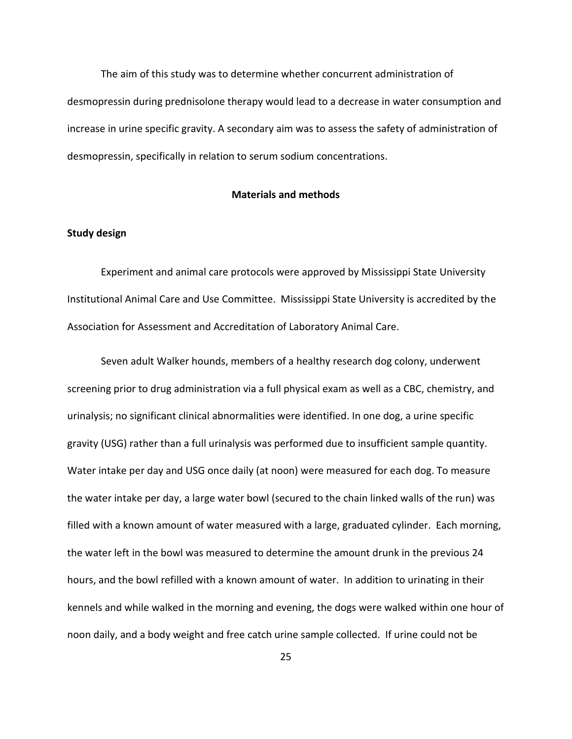The aim of this study was to determine whether concurrent administration of desmopressin during prednisolone therapy would lead to a decrease in water consumption and increase in urine specific gravity. A secondary aim was to assess the safety of administration of desmopressin, specifically in relation to serum sodium concentrations.

# **Materials and methods**

#### <span id="page-33-1"></span><span id="page-33-0"></span>**Study design**

Experiment and animal care protocols were approved by Mississippi State University Institutional Animal Care and Use Committee. Mississippi State University is accredited by the Association for Assessment and Accreditation of Laboratory Animal Care.

Seven adult Walker hounds, members of a healthy research dog colony, underwent screening prior to drug administration via a full physical exam as well as a CBC, chemistry, and urinalysis; no significant clinical abnormalities were identified. In one dog, a urine specific gravity (USG) rather than a full urinalysis was performed due to insufficient sample quantity. Water intake per day and USG once daily (at noon) were measured for each dog. To measure the water intake per day, a large water bowl (secured to the chain linked walls of the run) was filled with a known amount of water measured with a large, graduated cylinder. Each morning, the water left in the bowl was measured to determine the amount drunk in the previous 24 hours, and the bowl refilled with a known amount of water. In addition to urinating in their kennels and while walked in the morning and evening, the dogs were walked within one hour of noon daily, and a body weight and free catch urine sample collected. If urine could not be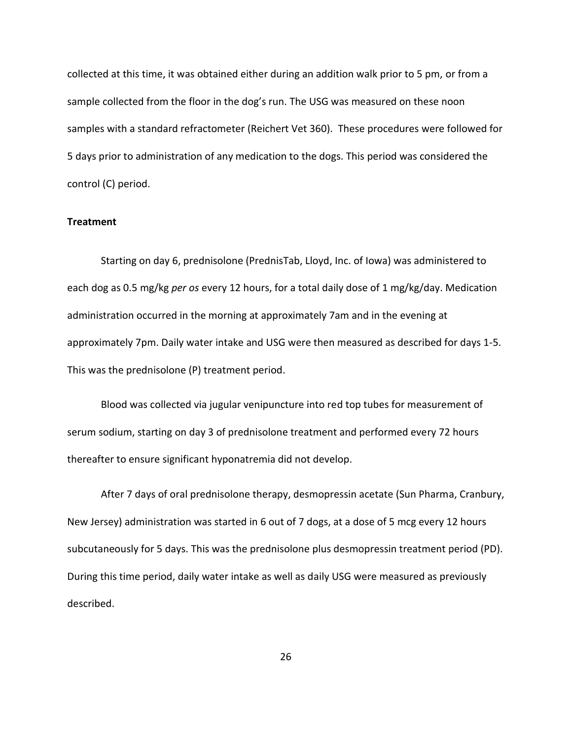collected at this time, it was obtained either during an addition walk prior to 5 pm, or from a sample collected from the floor in the dog's run. The USG was measured on these noon samples with a standard refractometer (Reichert Vet 360). These procedures were followed for 5 days prior to administration of any medication to the dogs. This period was considered the control (C) period.

# <span id="page-34-0"></span>**Treatment**

Starting on day 6, prednisolone (PrednisTab, Lloyd, Inc. of Iowa) was administered to each dog as 0.5 mg/kg *per os* every 12 hours, for a total daily dose of 1 mg/kg/day. Medication administration occurred in the morning at approximately 7am and in the evening at approximately 7pm. Daily water intake and USG were then measured as described for days 1-5. This was the prednisolone (P) treatment period.

Blood was collected via jugular venipuncture into red top tubes for measurement of serum sodium, starting on day 3 of prednisolone treatment and performed every 72 hours thereafter to ensure significant hyponatremia did not develop.

After 7 days of oral prednisolone therapy, desmopressin acetate (Sun Pharma, Cranbury, New Jersey) administration was started in 6 out of 7 dogs, at a dose of 5 mcg every 12 hours subcutaneously for 5 days. This was the prednisolone plus desmopressin treatment period (PD). During this time period, daily water intake as well as daily USG were measured as previously described.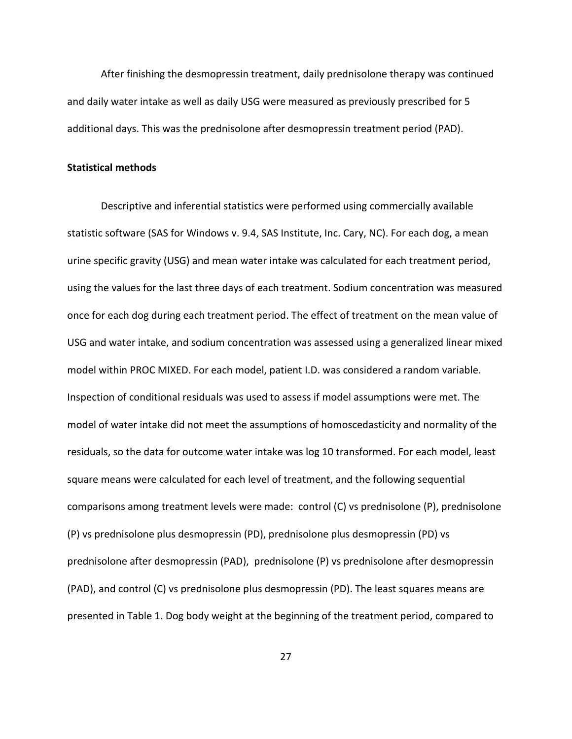After finishing the desmopressin treatment, daily prednisolone therapy was continued and daily water intake as well as daily USG were measured as previously prescribed for 5 additional days. This was the prednisolone after desmopressin treatment period (PAD).

#### <span id="page-35-0"></span>**Statistical methods**

Descriptive and inferential statistics were performed using commercially available statistic software (SAS for Windows v. 9.4, SAS Institute, Inc. Cary, NC). For each dog, a mean urine specific gravity (USG) and mean water intake was calculated for each treatment period, using the values for the last three days of each treatment. Sodium concentration was measured once for each dog during each treatment period. The effect of treatment on the mean value of USG and water intake, and sodium concentration was assessed using a generalized linear mixed model within PROC MIXED. For each model, patient I.D. was considered a random variable. Inspection of conditional residuals was used to assess if model assumptions were met. The model of water intake did not meet the assumptions of homoscedasticity and normality of the residuals, so the data for outcome water intake was log 10 transformed. For each model, least square means were calculated for each level of treatment, and the following sequential comparisons among treatment levels were made: control (C) vs prednisolone (P), prednisolone (P) vs prednisolone plus desmopressin (PD), prednisolone plus desmopressin (PD) vs prednisolone after desmopressin (PAD), prednisolone (P) vs prednisolone after desmopressin (PAD), and control (C) vs prednisolone plus desmopressin (PD). The least squares means are presented in Table 1. Dog body weight at the beginning of the treatment period, compared to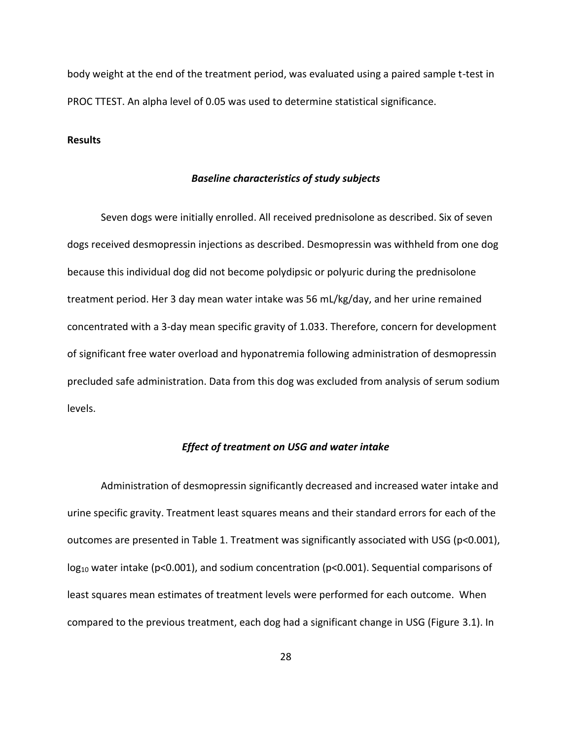body weight at the end of the treatment period, was evaluated using a paired sample t-test in PROC TTEST. An alpha level of 0.05 was used to determine statistical significance.

# <span id="page-36-1"></span><span id="page-36-0"></span>**Results**

#### *Baseline characteristics of study subjects*

Seven dogs were initially enrolled. All received prednisolone as described. Six of seven dogs received desmopressin injections as described. Desmopressin was withheld from one dog because this individual dog did not become polydipsic or polyuric during the prednisolone treatment period. Her 3 day mean water intake was 56 mL/kg/day, and her urine remained concentrated with a 3-day mean specific gravity of 1.033. Therefore, concern for development of significant free water overload and hyponatremia following administration of desmopressin precluded safe administration. Data from this dog was excluded from analysis of serum sodium levels.

# *Effect of treatment on USG and water intake*

<span id="page-36-2"></span>Administration of desmopressin significantly decreased and increased water intake and urine specific gravity. Treatment least squares means and their standard errors for each of the outcomes are presented in Table 1. Treatment was significantly associated with USG (p<0.001),  $log_{10}$  water intake (p<0.001), and sodium concentration (p<0.001). Sequential comparisons of least squares mean estimates of treatment levels were performed for each outcome. When compared to the previous treatment, each dog had a significant change in USG (Figure 3.1). In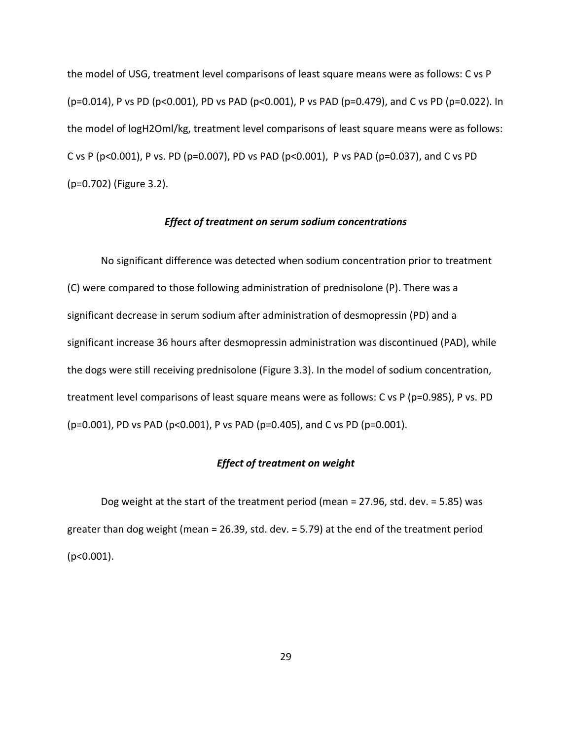the model of USG, treatment level comparisons of least square means were as follows: C vs P (p=0.014), P vs PD (p<0.001), PD vs PAD (p<0.001), P vs PAD (p=0.479), and C vs PD (p=0.022). In the model of logH2Oml/kg, treatment level comparisons of least square means were as follows: C vs P (p<0.001), P vs. PD (p=0.007), PD vs PAD (p<0.001), P vs PAD (p=0.037), and C vs PD (p=0.702) (Figure 3.2).

#### *Effect of treatment on serum sodium concentrations*

<span id="page-37-0"></span>No significant difference was detected when sodium concentration prior to treatment (C) were compared to those following administration of prednisolone (P). There was a significant decrease in serum sodium after administration of desmopressin (PD) and a significant increase 36 hours after desmopressin administration was discontinued (PAD), while the dogs were still receiving prednisolone (Figure 3.3). In the model of sodium concentration, treatment level comparisons of least square means were as follows: C vs P (p=0.985), P vs. PD (p=0.001), PD vs PAD (p<0.001), P vs PAD (p=0.405), and C vs PD (p=0.001).

# *Effect of treatment on weight*

<span id="page-37-1"></span>Dog weight at the start of the treatment period (mean = 27.96, std. dev. = 5.85) was greater than dog weight (mean = 26.39, std. dev. = 5.79) at the end of the treatment period (p<0.001).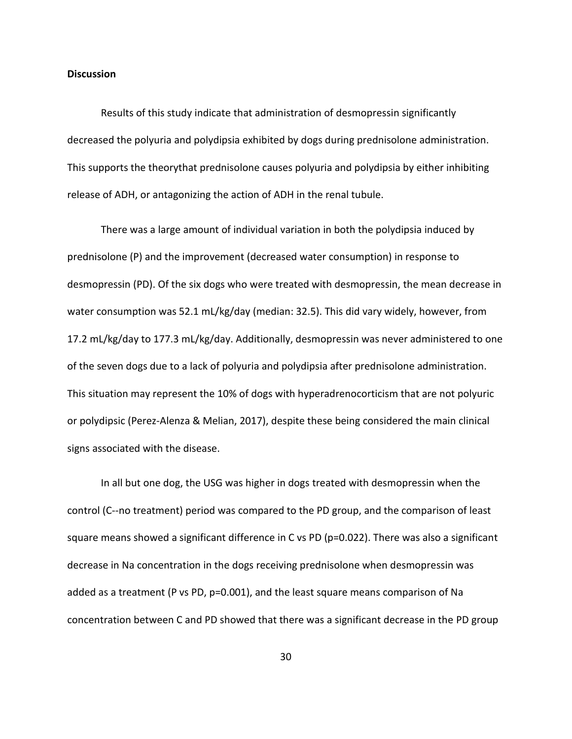# <span id="page-38-0"></span>**Discussion**

Results of this study indicate that administration of desmopressin significantly decreased the polyuria and polydipsia exhibited by dogs during prednisolone administration. This supports the theorythat prednisolone causes polyuria and polydipsia by either inhibiting release of ADH, or antagonizing the action of ADH in the renal tubule.

There was a large amount of individual variation in both the polydipsia induced by prednisolone (P) and the improvement (decreased water consumption) in response to desmopressin (PD). Of the six dogs who were treated with desmopressin, the mean decrease in water consumption was 52.1 mL/kg/day (median: 32.5). This did vary widely, however, from 17.2 mL/kg/day to 177.3 mL/kg/day. Additionally, desmopressin was never administered to one of the seven dogs due to a lack of polyuria and polydipsia after prednisolone administration. This situation may represent the 10% of dogs with hyperadrenocorticism that are not polyuric or polydipsic (Perez-Alenza & Melian, 2017), despite these being considered the main clinical signs associated with the disease.

In all but one dog, the USG was higher in dogs treated with desmopressin when the control (C--no treatment) period was compared to the PD group, and the comparison of least square means showed a significant difference in C vs PD (p=0.022). There was also a significant decrease in Na concentration in the dogs receiving prednisolone when desmopressin was added as a treatment (P vs PD, p=0.001), and the least square means comparison of Na concentration between C and PD showed that there was a significant decrease in the PD group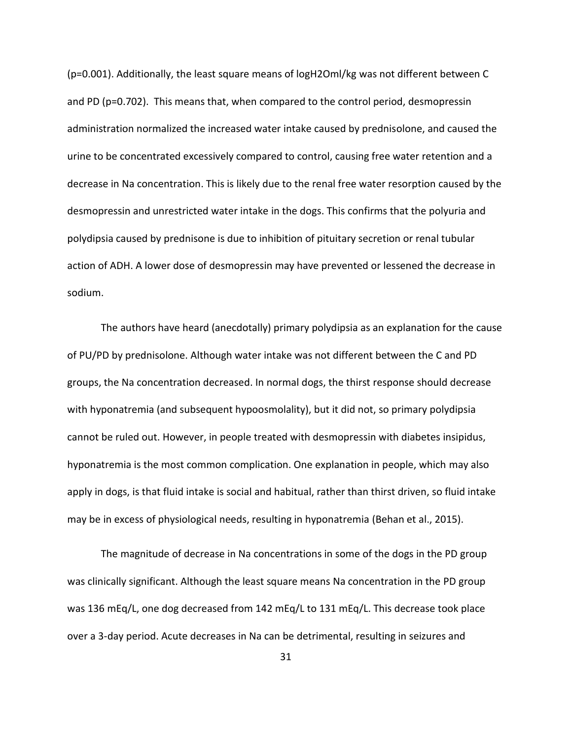(p=0.001). Additionally, the least square means of logH2Oml/kg was not different between C and PD (p=0.702). This means that, when compared to the control period, desmopressin administration normalized the increased water intake caused by prednisolone, and caused the urine to be concentrated excessively compared to control, causing free water retention and a decrease in Na concentration. This is likely due to the renal free water resorption caused by the desmopressin and unrestricted water intake in the dogs. This confirms that the polyuria and polydipsia caused by prednisone is due to inhibition of pituitary secretion or renal tubular action of ADH. A lower dose of desmopressin may have prevented or lessened the decrease in sodium.

The authors have heard (anecdotally) primary polydipsia as an explanation for the cause of PU/PD by prednisolone. Although water intake was not different between the C and PD groups, the Na concentration decreased. In normal dogs, the thirst response should decrease with hyponatremia (and subsequent hypoosmolality), but it did not, so primary polydipsia cannot be ruled out. However, in people treated with desmopressin with diabetes insipidus, hyponatremia is the most common complication. One explanation in people, which may also apply in dogs, is that fluid intake is social and habitual, rather than thirst driven, so fluid intake may be in excess of physiological needs, resulting in hyponatremia (Behan et al., 2015).

The magnitude of decrease in Na concentrations in some of the dogs in the PD group was clinically significant. Although the least square means Na concentration in the PD group was 136 mEq/L, one dog decreased from 142 mEq/L to 131 mEq/L. This decrease took place over a 3-day period. Acute decreases in Na can be detrimental, resulting in seizures and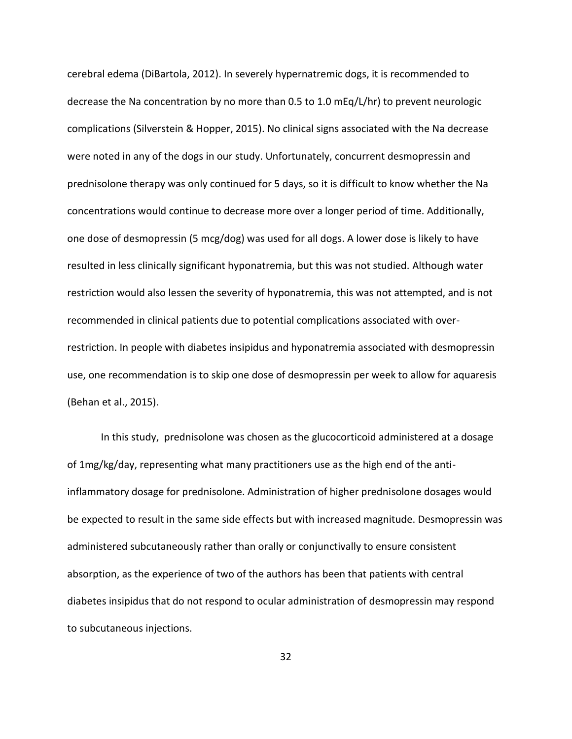cerebral edema (DiBartola, 2012). In severely hypernatremic dogs, it is recommended to decrease the Na concentration by no more than 0.5 to 1.0 mEq/L/hr) to prevent neurologic complications (Silverstein & Hopper, 2015). No clinical signs associated with the Na decrease were noted in any of the dogs in our study. Unfortunately, concurrent desmopressin and prednisolone therapy was only continued for 5 days, so it is difficult to know whether the Na concentrations would continue to decrease more over a longer period of time. Additionally, one dose of desmopressin (5 mcg/dog) was used for all dogs. A lower dose is likely to have resulted in less clinically significant hyponatremia, but this was not studied. Although water restriction would also lessen the severity of hyponatremia, this was not attempted, and is not recommended in clinical patients due to potential complications associated with overrestriction. In people with diabetes insipidus and hyponatremia associated with desmopressin use, one recommendation is to skip one dose of desmopressin per week to allow for aquaresis (Behan et al., 2015).

In this study, prednisolone was chosen as the glucocorticoid administered at a dosage of 1mg/kg/day, representing what many practitioners use as the high end of the antiinflammatory dosage for prednisolone. Administration of higher prednisolone dosages would be expected to result in the same side effects but with increased magnitude. Desmopressin was administered subcutaneously rather than orally or conjunctivally to ensure consistent absorption, as the experience of two of the authors has been that patients with central diabetes insipidus that do not respond to ocular administration of desmopressin may respond to subcutaneous injections.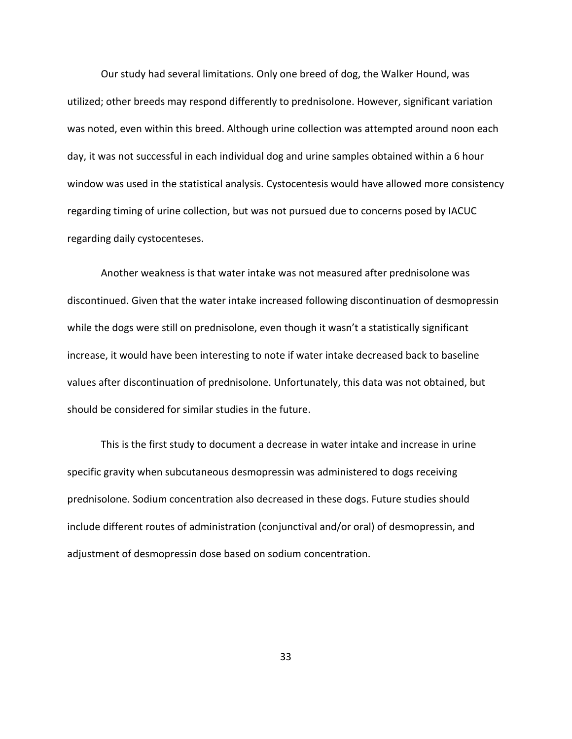Our study had several limitations. Only one breed of dog, the Walker Hound, was utilized; other breeds may respond differently to prednisolone. However, significant variation was noted, even within this breed. Although urine collection was attempted around noon each day, it was not successful in each individual dog and urine samples obtained within a 6 hour window was used in the statistical analysis. Cystocentesis would have allowed more consistency regarding timing of urine collection, but was not pursued due to concerns posed by IACUC regarding daily cystocenteses.

Another weakness is that water intake was not measured after prednisolone was discontinued. Given that the water intake increased following discontinuation of desmopressin while the dogs were still on prednisolone, even though it wasn't a statistically significant increase, it would have been interesting to note if water intake decreased back to baseline values after discontinuation of prednisolone. Unfortunately, this data was not obtained, but should be considered for similar studies in the future.

This is the first study to document a decrease in water intake and increase in urine specific gravity when subcutaneous desmopressin was administered to dogs receiving prednisolone. Sodium concentration also decreased in these dogs. Future studies should include different routes of administration (conjunctival and/or oral) of desmopressin, and adjustment of desmopressin dose based on sodium concentration.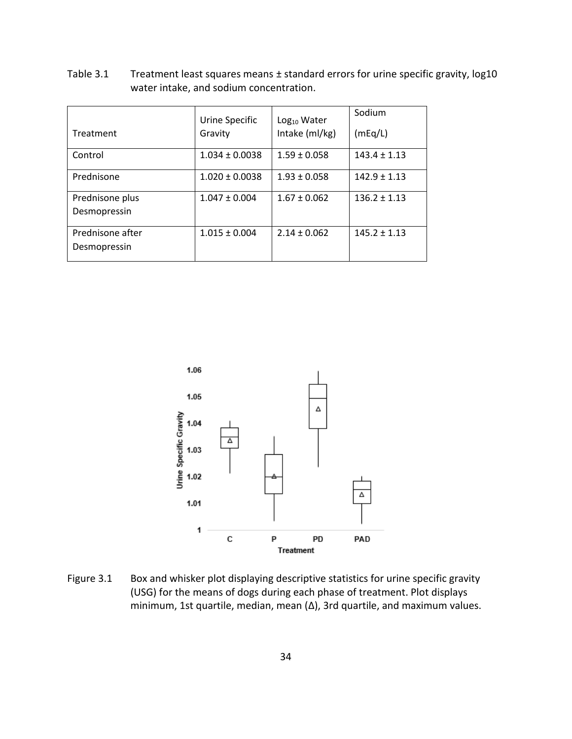<span id="page-42-0"></span>Table 3.1 Treatment least squares means ± standard errors for urine specific gravity, log10 water intake, and sodium concentration.

|                                  | Urine Specific     | Log <sub>10</sub> Water | Sodium           |
|----------------------------------|--------------------|-------------------------|------------------|
| Treatment                        | Gravity            | Intake (ml/kg)          | (mEq/L)          |
| Control                          | $1.034 \pm 0.0038$ | $1.59 \pm 0.058$        | $143.4 \pm 1.13$ |
| Prednisone                       | $1.020 \pm 0.0038$ | $1.93 \pm 0.058$        | $142.9 \pm 1.13$ |
| Prednisone plus<br>Desmopressin  | $1.047 \pm 0.004$  | $1.67 \pm 0.062$        | $136.2 \pm 1.13$ |
| Prednisone after<br>Desmopressin | $1.015 \pm 0.004$  | $2.14 \pm 0.062$        | $145.2 \pm 1.13$ |



<span id="page-42-1"></span>Figure 3.1 Box and whisker plot displaying descriptive statistics for urine specific gravity (USG) for the means of dogs during each phase of treatment. Plot displays minimum, 1st quartile, median, mean (Δ), 3rd quartile, and maximum values.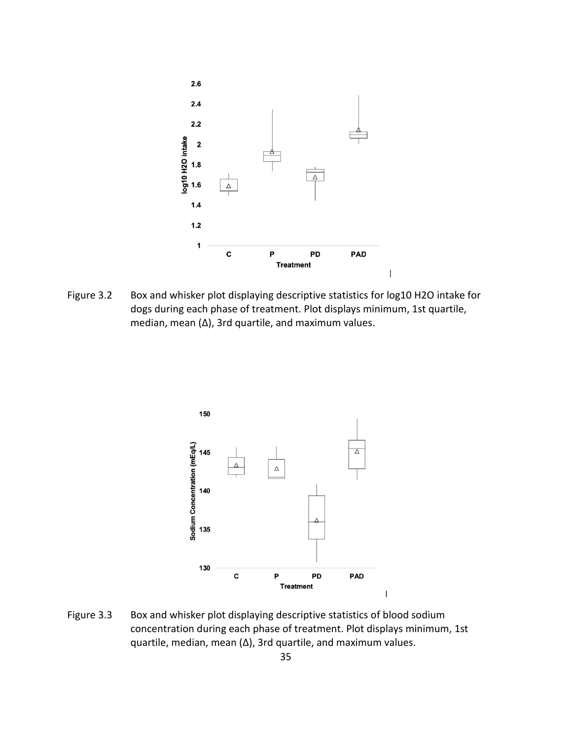

<span id="page-43-0"></span>Figure 3.2 Box and whisker plot displaying descriptive statistics for log10 H2O intake for dogs during each phase of treatment. Plot displays minimum, 1st quartile, median, mean (Δ), 3rd quartile, and maximum values.



<span id="page-43-1"></span>Figure 3.3 Box and whisker plot displaying descriptive statistics of blood sodium concentration during each phase of treatment. Plot displays minimum, 1st quartile, median, mean (Δ), 3rd quartile, and maximum values.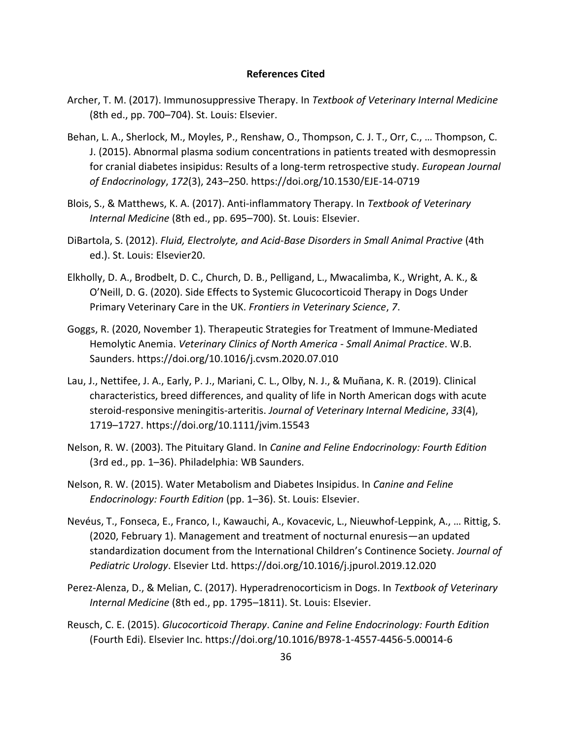#### **References Cited**

- <span id="page-44-0"></span>Archer, T. M. (2017). Immunosuppressive Therapy. In *Textbook of Veterinary Internal Medicine* (8th ed., pp. 700–704). St. Louis: Elsevier.
- Behan, L. A., Sherlock, M., Moyles, P., Renshaw, O., Thompson, C. J. T., Orr, C., … Thompson, C. J. (2015). Abnormal plasma sodium concentrations in patients treated with desmopressin for cranial diabetes insipidus: Results of a long-term retrospective study. *European Journal of Endocrinology*, *172*(3), 243–250. https://doi.org/10.1530/EJE-14-0719
- Blois, S., & Matthews, K. A. (2017). Anti-inflammatory Therapy. In *Textbook of Veterinary Internal Medicine* (8th ed., pp. 695–700). St. Louis: Elsevier.
- DiBartola, S. (2012). *Fluid, Electrolyte, and Acid-Base Disorders in Small Animal Practive* (4th ed.). St. Louis: Elsevier20.
- Elkholly, D. A., Brodbelt, D. C., Church, D. B., Pelligand, L., Mwacalimba, K., Wright, A. K., & O'Neill, D. G. (2020). Side Effects to Systemic Glucocorticoid Therapy in Dogs Under Primary Veterinary Care in the UK. *Frontiers in Veterinary Science*, *7*.
- Goggs, R. (2020, November 1). Therapeutic Strategies for Treatment of Immune-Mediated Hemolytic Anemia. *Veterinary Clinics of North America - Small Animal Practice*. W.B. Saunders. https://doi.org/10.1016/j.cvsm.2020.07.010
- Lau, J., Nettifee, J. A., Early, P. J., Mariani, C. L., Olby, N. J., & Muñana, K. R. (2019). Clinical characteristics, breed differences, and quality of life in North American dogs with acute steroid-responsive meningitis-arteritis. *Journal of Veterinary Internal Medicine*, *33*(4), 1719–1727. https://doi.org/10.1111/jvim.15543
- Nelson, R. W. (2003). The Pituitary Gland. In *Canine and Feline Endocrinology: Fourth Edition* (3rd ed., pp. 1–36). Philadelphia: WB Saunders.
- Nelson, R. W. (2015). Water Metabolism and Diabetes Insipidus. In *Canine and Feline Endocrinology: Fourth Edition* (pp. 1–36). St. Louis: Elsevier.
- Nevéus, T., Fonseca, E., Franco, I., Kawauchi, A., Kovacevic, L., Nieuwhof-Leppink, A., … Rittig, S. (2020, February 1). Management and treatment of nocturnal enuresis—an updated standardization document from the International Children's Continence Society. *Journal of Pediatric Urology*. Elsevier Ltd. https://doi.org/10.1016/j.jpurol.2019.12.020
- Perez-Alenza, D., & Melian, C. (2017). Hyperadrenocorticism in Dogs. In *Textbook of Veterinary Internal Medicine* (8th ed., pp. 1795–1811). St. Louis: Elsevier.
- Reusch, C. E. (2015). *Glucocorticoid Therapy*. *Canine and Feline Endocrinology: Fourth Edition* (Fourth Edi). Elsevier Inc. https://doi.org/10.1016/B978-1-4557-4456-5.00014-6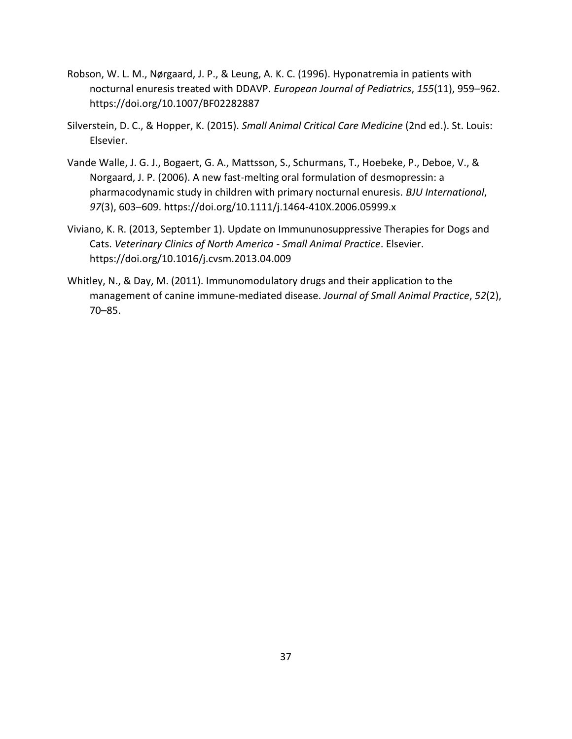- Robson, W. L. M., Nørgaard, J. P., & Leung, A. K. C. (1996). Hyponatremia in patients with nocturnal enuresis treated with DDAVP. *European Journal of Pediatrics*, *155*(11), 959–962. https://doi.org/10.1007/BF02282887
- Silverstein, D. C., & Hopper, K. (2015). *Small Animal Critical Care Medicine* (2nd ed.). St. Louis: Elsevier.
- Vande Walle, J. G. J., Bogaert, G. A., Mattsson, S., Schurmans, T., Hoebeke, P., Deboe, V., & Norgaard, J. P. (2006). A new fast-melting oral formulation of desmopressin: a pharmacodynamic study in children with primary nocturnal enuresis. *BJU International*, *97*(3), 603–609. https://doi.org/10.1111/j.1464-410X.2006.05999.x
- Viviano, K. R. (2013, September 1). Update on Immununosuppressive Therapies for Dogs and Cats. *Veterinary Clinics of North America - Small Animal Practice*. Elsevier. https://doi.org/10.1016/j.cvsm.2013.04.009
- Whitley, N., & Day, M. (2011). Immunomodulatory drugs and their application to the management of canine immune-mediated disease. *Journal of Small Animal Practice*, *52*(2), 70–85.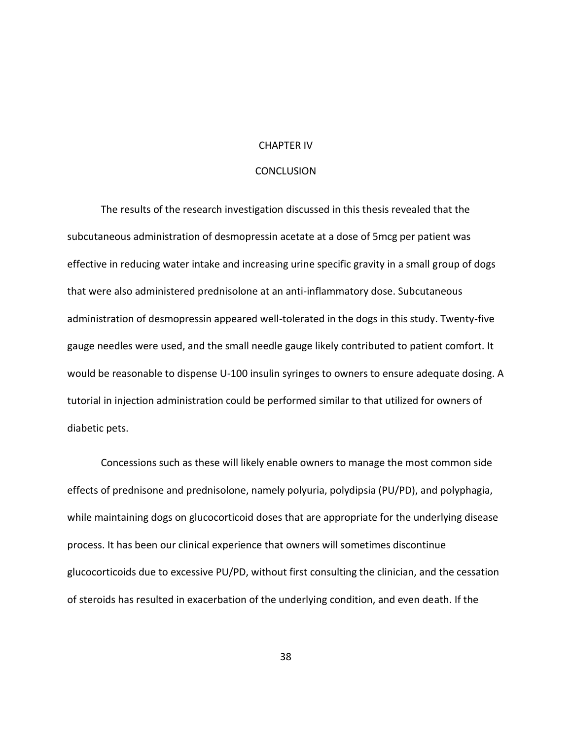### CHAPTER IV

# **CONCLUSION**

<span id="page-46-0"></span>The results of the research investigation discussed in this thesis revealed that the subcutaneous administration of desmopressin acetate at a dose of 5mcg per patient was effective in reducing water intake and increasing urine specific gravity in a small group of dogs that were also administered prednisolone at an anti-inflammatory dose. Subcutaneous administration of desmopressin appeared well-tolerated in the dogs in this study. Twenty-five gauge needles were used, and the small needle gauge likely contributed to patient comfort. It would be reasonable to dispense U-100 insulin syringes to owners to ensure adequate dosing. A tutorial in injection administration could be performed similar to that utilized for owners of diabetic pets.

Concessions such as these will likely enable owners to manage the most common side effects of prednisone and prednisolone, namely polyuria, polydipsia (PU/PD), and polyphagia, while maintaining dogs on glucocorticoid doses that are appropriate for the underlying disease process. It has been our clinical experience that owners will sometimes discontinue glucocorticoids due to excessive PU/PD, without first consulting the clinician, and the cessation of steroids has resulted in exacerbation of the underlying condition, and even death. If the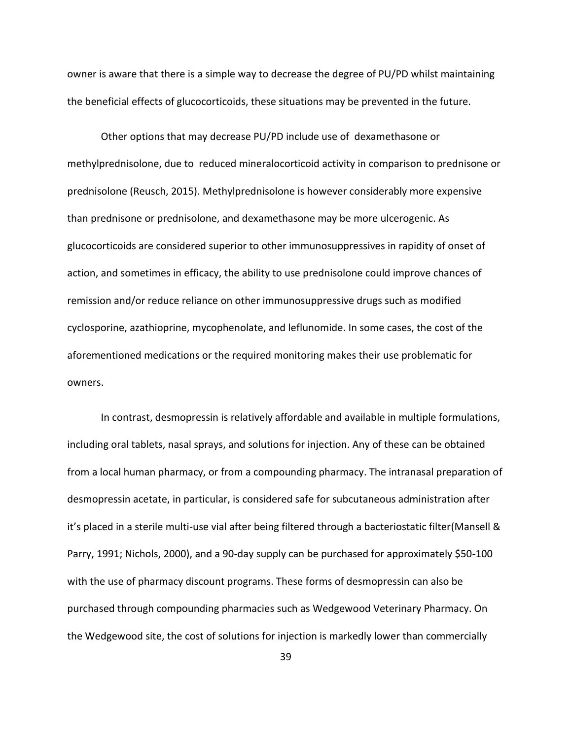owner is aware that there is a simple way to decrease the degree of PU/PD whilst maintaining the beneficial effects of glucocorticoids, these situations may be prevented in the future.

Other options that may decrease PU/PD include use of dexamethasone or methylprednisolone, due to reduced mineralocorticoid activity in comparison to prednisone or prednisolone (Reusch, 2015). Methylprednisolone is however considerably more expensive than prednisone or prednisolone, and dexamethasone may be more ulcerogenic. As glucocorticoids are considered superior to other immunosuppressives in rapidity of onset of action, and sometimes in efficacy, the ability to use prednisolone could improve chances of remission and/or reduce reliance on other immunosuppressive drugs such as modified cyclosporine, azathioprine, mycophenolate, and leflunomide. In some cases, the cost of the aforementioned medications or the required monitoring makes their use problematic for owners.

In contrast, desmopressin is relatively affordable and available in multiple formulations, including oral tablets, nasal sprays, and solutions for injection. Any of these can be obtained from a local human pharmacy, or from a compounding pharmacy. The intranasal preparation of desmopressin acetate, in particular, is considered safe for subcutaneous administration after it's placed in a sterile multi-use vial after being filtered through a bacteriostatic filter(Mansell & Parry, 1991; Nichols, 2000), and a 90-day supply can be purchased for approximately \$50-100 with the use of pharmacy discount programs. These forms of desmopressin can also be purchased through compounding pharmacies such as Wedgewood Veterinary Pharmacy. On the Wedgewood site, the cost of solutions for injection is markedly lower than commercially

39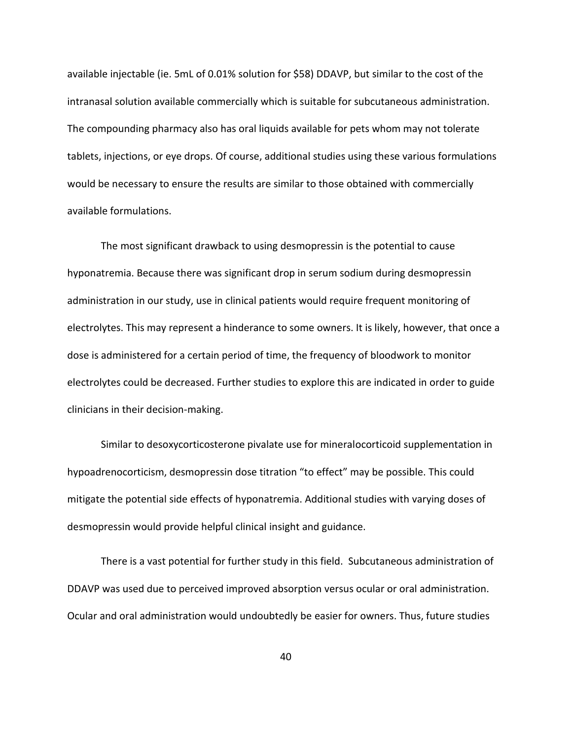available injectable (ie. 5mL of 0.01% solution for \$58) DDAVP, but similar to the cost of the intranasal solution available commercially which is suitable for subcutaneous administration. The compounding pharmacy also has oral liquids available for pets whom may not tolerate tablets, injections, or eye drops. Of course, additional studies using these various formulations would be necessary to ensure the results are similar to those obtained with commercially available formulations.

The most significant drawback to using desmopressin is the potential to cause hyponatremia. Because there was significant drop in serum sodium during desmopressin administration in our study, use in clinical patients would require frequent monitoring of electrolytes. This may represent a hinderance to some owners. It is likely, however, that once a dose is administered for a certain period of time, the frequency of bloodwork to monitor electrolytes could be decreased. Further studies to explore this are indicated in order to guide clinicians in their decision-making.

Similar to desoxycorticosterone pivalate use for mineralocorticoid supplementation in hypoadrenocorticism, desmopressin dose titration "to effect" may be possible. This could mitigate the potential side effects of hyponatremia. Additional studies with varying doses of desmopressin would provide helpful clinical insight and guidance.

There is a vast potential for further study in this field. Subcutaneous administration of DDAVP was used due to perceived improved absorption versus ocular or oral administration. Ocular and oral administration would undoubtedly be easier for owners. Thus, future studies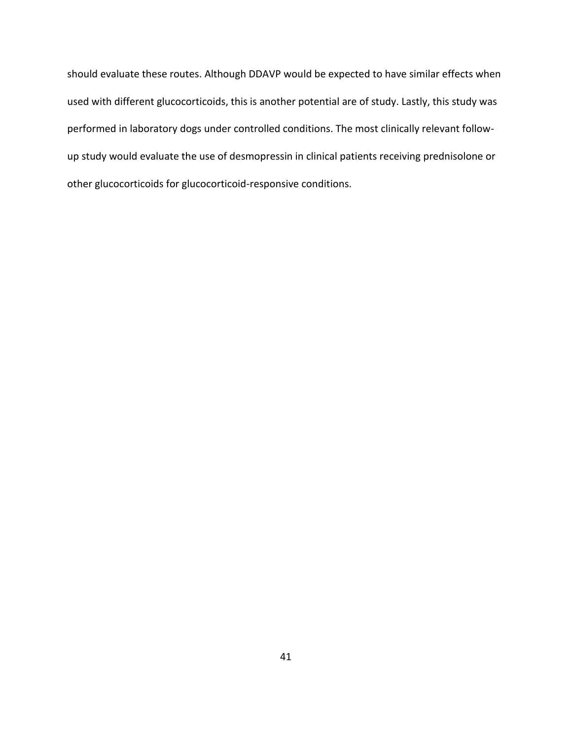should evaluate these routes. Although DDAVP would be expected to have similar effects when used with different glucocorticoids, this is another potential are of study. Lastly, this study was performed in laboratory dogs under controlled conditions. The most clinically relevant followup study would evaluate the use of desmopressin in clinical patients receiving prednisolone or other glucocorticoids for glucocorticoid-responsive conditions.